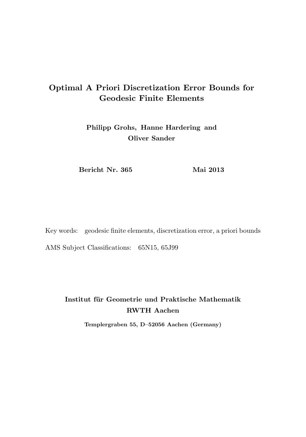# Optimal A Priori Discretization Error Bounds for Geodesic Finite Elements

Philipp Grohs, Hanne Hardering and Oliver Sander

Bericht Nr. 365 Mai 2013

Key words: geodesic finite elements, discretization error, a priori bounds AMS Subject Classifications: 65N15, 65J99

# Institut für Geometrie und Praktische Mathematik RWTH Aachen

Templergraben 55, D–52056 Aachen (Germany)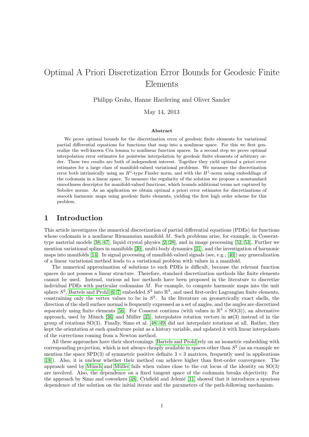# Optimal A Priori Discretization Error Bounds for Geodesic Finite Elements

Philipp Grohs, Hanne Hardering and Oliver Sander

May 14, 2013

#### Abstract

We prove optimal bounds for the discretization error of geodesic finite elements for variational partial differential equations for functions that map into a nonlinear space. For this we first generalize the well-known Céa lemma to nonlinear function spaces. In a second step we prove optimal interpolation error estimates for pointwise interpolation by geodesic finite elements of arbitrary order. These two results are both of independent interest. Together they yield optimal a priori error estimates for a large class of manifold-valued variational problems. We measure the discretization error both intrinsically using an  $H^1$ -type Finsler norm, and with the  $H^1$ -norm using embeddings of the codomain in a linear space. To measure the regularity of the solution we propose a nonstandard smoothness descriptor for manifold-valued functions, which bounds additional terms not captured by Sobolev norms. As an application we obtain optimal a priori error estimates for discretizations of smooth harmonic maps using geodesic finite elements, yielding the first high order scheme for this problem.

## 1 Introduction

This article investigates the numerical discretization of partial differential equations (PDEs) for functions whose codomain is a nonlinear Riemannian manifold  $M$ . Such problems arise, for example, in Cosserattype material models [\[38,](#page-36-0) [47\]](#page-37-0), liquid crystal physics [\[2,](#page-35-0) [28\]](#page-36-1), and in image processing [\[52,](#page-37-1) [53\]](#page-37-2). Further we mention variational splines in manifolds [\[30\]](#page-36-2), multi-body dynamics [\[31\]](#page-36-3), and the investigation of harmonic maps into manifolds [\[14\]](#page-35-1). In signal processing of manifold-valued signals (see, e.g., [\[40\]](#page-36-4)) any generalization of a linear variational method leads to a variational problem with values in a manifold.

The numerical approximation of solutions to such PDEs is difficult, because the relevant function spaces do not possess a linear structure. Therefore, standard discretization methods like finite elements cannot be used. Instead, various ad hoc methods have been proposed in the literature to discretize individual PDEs with particular codomains M. For example, to compute harmonic maps into the unit sphere  $S^2$ , [Bartels and Prohl](#page-35-2) [\[6,](#page-35-3) [7\]](#page-35-2) embedded  $S^2$  into  $\mathbb{R}^3$ , and used first-order Lagrangian finite elements, constraining only the vertex values to be in  $S^2$ . In the literature on geometrically exact shells, the direction of the shell surface normal is frequently expressed as a set of angles, and the angles are discretized separately using finite elements [\[56\]](#page-37-3). For Cosserat continua (with values in  $\mathbb{R}^3 \times SO(3)$ ), an alternative approach, used by Münch [\[36\]](#page-36-5) and Müller [\[35\]](#page-36-6), interpolates rotation vectors in  $\mathfrak{so}(3)$  instead of in the group of rotations SO(3). Finally, Simo et al. [\[48,](#page-37-4) [49\]](#page-37-5) did not interpolate rotations at all. Rather, they kept the orientation at each quadrature point as a history variable, and updated it with linear interpolants of the corrections coming from a Newton method.

All these approaches have their shortcomings. [Bartels and Prohl](#page-35-2) rely on an isometric embedding with corresponding projection, which is not always cheaply available in spaces other than  $S<sup>2</sup>$  (as an example we mention the space SPD(3) of symmetric positive definite  $3 \times 3$  matrices, frequently used in applications [\[18\]](#page-35-4)). Also, it is unclear whether their method can achieve higher than first-order convergence. The approach used by Münch and Müller fails when values close to the cut locus of the identity on  $SO(3)$ are involved. Also, the dependence on a fixed tangent space of the codomain breaks objectivity. For the approach by Simo and coworkers [\[48\]](#page-37-4), Crisfield and Jelenic [\[11\]](#page-35-5) showed that it introduces a spurious dependence of the solution on the initial iterate and the parameters of the path-following mechanism.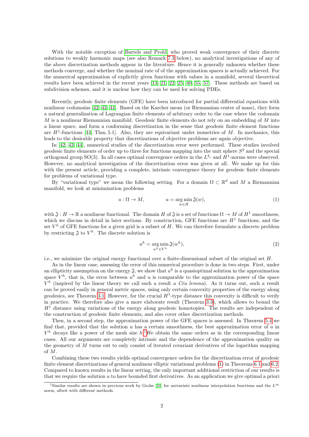With the notable exception of [Bartels and Prohl,](#page-35-2) who proved weak convergence of their discrete solutions to weakly harmonic maps (see also Remark [7.3](#page-32-0) below), no analytical investigations of any of the above discretization methods appear in the literature. Hence it is generally unknown whether these methods converge, and whether the nominal rate of of the approximation spaces is actually achieved. For the numerical approximation of explicitly given functions with values in a manifold, several theoretical results have been achieved in the recent years [\[13,](#page-35-6) [21,](#page-35-7) [22,](#page-35-8) [25,](#page-36-7) [40,](#page-36-4) [55,](#page-37-6) [57\]](#page-37-7). These methods are based on subdivision schemes, and it is unclear how they can be used for solving PDEs.

Recently, geodesic finite elements (GFE) have been introduced for partial differential equations with nonlinear codomains [\[42,](#page-36-8) [43,](#page-36-9) [44\]](#page-36-10). Based on the Karcher mean (or Riemannian center of mass), they form a natural generalization of Lagrangian finite elements of arbitrary order to the case where the codomain M is a nonlinear Riemannian manifold. Geodesic finite elements do not rely on an embedding of  $M$  into a linear space, and form a conforming discretization in the sense that geodesic finite element functions are  $H^1$ -functions [\[44,](#page-36-10) Thm. 5.1]. Also, they are equivariant under isometries of M. In mechanics, this leads to the desirable property that discretizations of objective problems are again objective.

In [\[42,](#page-36-8) [43,](#page-36-9) [44\]](#page-36-10), numerical studies of the discretization error were performed. These studies involved geodesic finite elements of order up to three for functions mapping into the unit sphere  $S<sup>2</sup>$  and the special orthogonal group SO(3). In all cases optimal convergence orders in the  $L^2$ - and  $H^1$ -norms were observed. However, no analytical investigation of the discretization error was given at all. We make up for this with the present article, providing a complete, intrinsic convergence theory for geodesic finite elements for problems of variational type.

By "variational type" we mean the following setting. For a domain  $\Omega \subset \mathbb{R}^d$  and M a Riemannian manifold, we look at minimization problems

<span id="page-2-1"></span>
$$
u: \Omega \to M, \qquad u = \underset{w \in H}{\arg \min} \mathfrak{J}(w), \tag{1}
$$

with  $\mathfrak{J}: H \to \mathbb{R}$  a nonlinear functional. The domain H of  $\mathfrak{J}$  is a set of functions  $\Omega \to M$  of  $H^1$  smoothness, which we discuss in detail in later sections. By construction, GFE functions are  $H<sup>1</sup>$  functions, and the set  $V^h$  of GFE functions for a given grid is a subset of H. We can therefore formulate a discrete problem by restricting  $\mathfrak{J}$  to  $V^h$ . The discrete solution is

<span id="page-2-2"></span>
$$
u^{h} = \underset{w^{h} \in V^{h}}{\arg \min} \mathfrak{J}(w^{h}),\tag{2}
$$

i.e., we minimize the original energy functional over a finite-dimensional subset of the original set H.

As in the linear case, assessing the error of this numerical procedure is done in two steps. First, under an ellipticity assumption on the energy  $\mathfrak{J}$ , we show that  $u^h$  is a quasioptimal solution in the approximation space  $V^h$ , that is, the error between  $u^h$  and u is comparable to the approximation power of the space  $V^h$  (inspired by the linear theory we call such a result a Céa lemma). As it turns out, such a result can be proved easily in general metric spaces, using only certain convexity properties of the energy along geodesics, see Theorem [3.1.](#page-12-0) However, for the crucial  $H^1$ -type distance this convexity is difficult to verify in practice. We therefore also give a more elaborate result (Theorem [3.3\)](#page-14-0), which allows to bound the  $H<sup>1</sup>$  distance using variations of the energy along geodesic homotopies. The results are independent of the construction of geodesic finite elements, and also cover other discretization methods.

Then, in a second step, the approximation power of the GFE spaces is assessed. In Theorem [5.4](#page-24-0) we find that, provided that the solution u has a certain smoothness, the best approximation error of u in  $V^h$  decays like a power of the mesh size  $h$ . We obtain the same orders as in the corresponding linear cases. All our arguments are completely intrinsic and the dependence of the approximation quality on the geometry of M turns out to only consist of iterated covariant derivatives of the logarithm mapping of M.

Combining these two results yields optimal convergence orders for the discretization error of geodesic finite element discretizations of general nonlinear elliptic variational problems [\(1\)](#page-2-1) in Theorems [6.1](#page-26-0) and [6.2.](#page-27-0) Compared to known results in the linear setting, the only important additional restriction of our results is that we require the solution  $u$  to have bounded first derivatives. As an application we give optimal a priori

<span id="page-2-0"></span><sup>&</sup>lt;sup>1</sup>Similar results are shown in previous work by Grohs [\[24\]](#page-36-11) for univariate nonlinear interpolation functions and the  $L^{\infty}$ norm, albeit with different methods.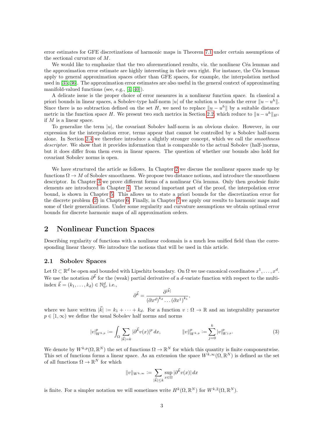error estimates for GFE discretizations of harmonic maps in Theorem [7.1](#page-31-0) under certain assumptions of the sectional curvature of M.

We would like to emphasize that the two aforementioned results, viz. the nonlinear Céa lemmas and the approximation error estimate are highly interesting in their own right. For instance, the Céa lemmas apply to general approximation spaces other than GFE spaces, for example, the interpolation method used in [\[35,](#page-36-6) [36\]](#page-36-5). The approximation error estimates are also useful in the general context of approximating manifold-valued functions (see, e.g., [\[4,](#page-35-9) [40\]](#page-36-4)).

A delicate issue is the proper choice of error measures in a nonlinear function space. In classical a priori bounds in linear spaces, a Sobolev-type half-norm |u| of the solution u bounds the error  $||u - u^h||$ . Since there is no subtraction defined on the set H, we need to replace  $||u - u^h||$  by a suitable distance metric in the function space H. We present two such metrics in Section [2.2,](#page-5-0) which reduce to  $||u - u^h||_{H^1}$ if  $M$  is a linear space.

To generalize the term  $|u|$ , the covariant Sobolev half-norm is an obvious choice. However, in our expression for the interpolation error, terms appear that cannot be controlled by a Sobolev half-norm alone. In Section [2.4](#page-8-0) we therefore introduce a slightly stronger concept, which we call the *smoothness* descriptor. We show that it provides information that is comparable to the actual Sobolev (half-)norms, but it does differ from them even in linear spaces. The question of whether our bounds also hold for covariant Sobolev norms is open.

We have structured the article as follows. In Chapter [2](#page-3-0) we discuss the nonlinear spaces made up by functions  $\Omega \to M$  of Sobolev smoothness. We propose two distance notions, and introduce the smoothness descriptor. In Chapter [3](#page-11-0) we prove different forms of a nonlinear Céa lemma. Only then geodesic finite elements are introduced in Chapter [4.](#page-15-0) The second important part of the proof, the interpolation error bound, is shown in Chapter [5.](#page-18-0) This allows us to state a priori bounds for the discretization error for the discrete problem [\(2\)](#page-2-2) in Chapter [6.](#page-26-1) Finally, in Chapter [7](#page-30-0) we apply our results to harmonic maps and some of their generalizations. Under some regularity and curvature assumptions we obtain optimal error bounds for discrete harmonic maps of all approximation orders.

# <span id="page-3-0"></span>2 Nonlinear Function Spaces

Describing regularity of functions with a nonlinear codomain is a much less unified field than the corresponding linear theory. We introduce the notions that will be used in this article.

## <span id="page-3-1"></span>2.1 Sobolev Spaces

Let  $\Omega \subset \mathbb{R}^d$  be open and bounded with Lipschitz boundary. On  $\Omega$  we use canonical coordinates  $x^1, \ldots, x^d$ . We use the notation  $\partial^{\vec{k}}$  for the (weak) partial derivative of a d-variate function with respect to the multiindex  $\vec{k} = (k_1, ..., k_d) \in \mathbb{N}_0^d$ , i.e.,

$$
\partial^{\vec{k}} = \frac{\partial^{|\vec{k}|}}{\left(\partial x^d\right)^{k_d} \dots \left(\partial x^1\right)^{k_1}},
$$

where we have written  $|\vec{k}| := k_1 + \cdots + k_d$ . For a function  $v : \Omega \to \mathbb{R}$  and an integrability parameter  $p \in [1,\infty)$  we define the usual Sobolev half norms and norms

<span id="page-3-2"></span>
$$
|v|_{W^{k,p}}^p := \int_{\Omega} \sum_{|\vec{k}|=k} |\partial^{\vec{k}} v(x)|^p dx, \qquad ||v||_{W^{k,p}}^p := \sum_{j=0}^k |v|_{W^{j,p}}^p. \tag{3}
$$

We denote by  $W^{k,p}(\Omega,\mathbb{R}^N)$  the set of functions  $\Omega \to \mathbb{R}^N$  for which this quantity is finite componentwise. This set of functions forms a linear space. As an extension the space  $W^{k,\infty}(\Omega,\mathbb{R}^N)$  is defined as the set of all functions  $\Omega \to \mathbb{R}^N$  for which

$$
||v||_{W^{k,\infty}} := \sum_{|\vec{k}| \leq k} \sup_{x \in \Omega} |\partial^{\vec{k}} v(x)| dx
$$

is finite. For a simpler notation we will sometimes write  $H^k(\Omega,\mathbb{R}^N)$  for  $W^{k,2}(\Omega,\mathbb{R}^N)$ .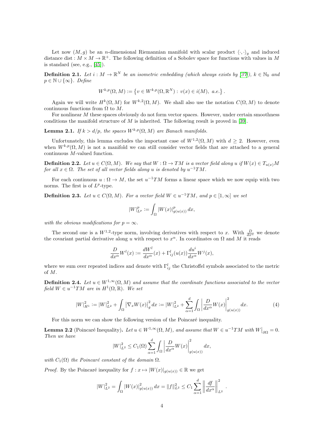Let now  $(M, g)$  be an *n*-dimensional Riemannian manifold with scalar product  $\langle \cdot, \cdot \rangle_q$  and induced distance dist :  $M \times M \to \mathbb{R}^+$ . The following definition of a Sobolev space for functions with values in M is standard (see, e.g.,  $[45]$ ).

<span id="page-4-0"></span>**Definition 2.1.** Let  $i : M \to \mathbb{R}^N$  be an isometric embedding (which always exists by [\[37\]](#page-36-12)),  $k \in \mathbb{N}_0$  and  $p \in \mathbb{N} \cup \{\infty\}$ . Define

$$
W^{k,p}(\Omega, M) := \{ v \in W^{k,p}(\Omega, \mathbb{R}^N) : v(x) \in i(M), \ a.e. \} .
$$

Again we will write  $H^k(\Omega, M)$  for  $W^{k,2}(\Omega, M)$ . We shall also use the notation  $C(\Omega, M)$  to denote continuous functions from  $\Omega$  to  $M$ .

For nonlinear M these spaces obviously do not form vector spaces. However, under certain smoothness conditions the manifold structure of  $M$  is inherited. The following result is proved in [\[39\]](#page-36-13).

**Lemma 2.1.** If  $k > d/p$ , the spaces  $W^{k,p}(\Omega, M)$  are Banach manifolds.

Unfortunately, this lemma excludes the important case of  $W^{1,2}(\Omega,M)$  with  $d\geq 2$ . However, even when  $W^{k,p}(\Omega, M)$  is not a manifold we can still consider vector fields that are attached to a general continuous M-valued function.

**Definition 2.2.** Let  $u \in C(\Omega, M)$ . We say that  $W : \Omega \to TM$  is a vector field along u if  $W(x) \in T_{u(x)}M$ for all  $x \in \Omega$ . The set of all vector fields along u is denoted by  $u^{-1}TM$ .

For each continuous  $u : \Omega \to M$ , the set  $u^{-1}TM$  forms a linear space which we now equip with two norms. The first is of  $L^p$ -type.

**Definition 2.3.** Let  $u \in C(\Omega, M)$ . For a vector field  $W \in u^{-1}TM$ , and  $p \in [1, \infty]$  we set

$$
|W|_{L^p}^p := \int_{\Omega} |W(x)|_{g(u(x))}^p dx,
$$

with the obvious modifications for  $p = \infty$ .

The second one is a  $W^{1,2}$ -type norm, involving derivatives with respect to x. With  $\frac{D}{dx^{\alpha}}$  we denote the covariant partial derivative along u with respect to  $x^{\alpha}$ . In coordinates on  $\Omega$  and M it reads

$$
\frac{D}{dx^{\alpha}}W^{l}(x) := \frac{dW^{l}}{dx^{\alpha}}(x) + \Gamma^{l}_{ij}(u(x))\frac{du^{i}}{dx^{\alpha}}W^{j}(x),
$$

where we sum over repeated indices and denote with  $\Gamma_{ij}^l$  the Christoffel symbols associated to the metric of M.

<span id="page-4-1"></span>**Definition 2.4.** Let  $u \in W^{1,\infty}(\Omega, M)$  and assume that the coordinate functions associated to the vector field  $W \in u^{-1}TM$  are in  $H^1(\Omega,\mathbb{R})$ . We set

<span id="page-4-2"></span>
$$
|W|_{H^1}^2 := |W|_{L^2}^2 + \int_{\Omega} |\nabla_x W(x)|_g^2 dx := |W|_{L^2}^2 + \sum_{\alpha=1}^d \int_{\Omega} \left| \frac{D}{dx^{\alpha}} W(x) \right|_{g(u(x))}^2 dx.
$$
 (4)

For this norm we can show the following version of the Poincaré inequality.

<span id="page-4-3"></span>**Lemma 2.2** (Poincaré Inequality). Let  $u \in W^{1,\infty}(\Omega, M)$ , and assume that  $W \in u^{-1}TM$  with  $W|_{\partial\Omega} = 0$ . Then we have

$$
|W|_{L^2}^2 \le C_1(\Omega) \sum_{\alpha=1}^d \int_{\Omega} \left| \frac{D}{dx^{\alpha}} W(x) \right|_{g(u(x))}^2 dx,
$$

with  $C_1(\Omega)$  the Poincaré constant of the domain  $\Omega$ .

*Proof.* By the Poincaré inequality for  $f : x \mapsto |W(x)|_{q(u(x))} \in \mathbb{R}$  we get

$$
|W|_{L^2}^2 = \int_{\Omega} |W(x)|_{g(u(x))}^2 dx = ||f||_{L^2}^2 \leq C_1 \sum_{\alpha=1}^d \left\| \frac{df}{dx^{\alpha}} \right\|_{L^2}^2.
$$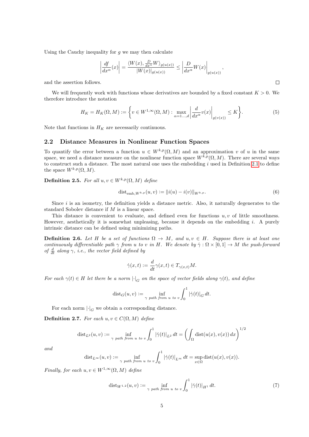Using the Cauchy inequality for  $g$  we may then calculate

$$
\left|\frac{df}{dx^{\alpha}}(x)\right| = \frac{\langle W(x), \frac{D}{dx^{\alpha}}W\rangle_{g(u(x))}}{|W(x)|_{g(u(x))}} \le \left|\frac{D}{dx^{\alpha}}W(x)\right|_{g(u(x))},
$$

 $\Box$ 

and the assertion follows.

We will frequently work with functions whose derivatives are bounded by a fixed constant  $K > 0$ . We therefore introduce the notation

<span id="page-5-1"></span>
$$
H_K = H_K(\Omega, M) := \left\{ v \in W^{1, \infty}(\Omega, M) : \max_{\alpha = 1 \dots, d} \left| \frac{d}{dx^{\alpha}} v(x) \right|_{g(v(x))} \le K \right\}.
$$
 (5)

Note that functions in  $H_K$  are necessarily continuous.

#### <span id="page-5-0"></span>2.2 Distance Measures in Nonlinear Function Spaces

To quantify the error between a function  $u \in W^{k,p}(\Omega,M)$  and an approximation v of u in the same space, we need a distance measure on the nonlinear function space  $W^{k,p}(\Omega, M)$ . There are several ways to construct such a distance. The most natural one uses the embedding  $i$  used in Definition [2.1](#page-4-0) to define the space  $W^{k,p}(\Omega, M)$ .

Definition 2.5. For all  $u, v \in W^{k,p}(\Omega, M)$  define

<span id="page-5-3"></span>
$$
dist_{\text{emb},W^{k,p}}(u,v) := ||i(u) - i(v)||_{W^{k,p}}.
$$
\n(6)

Since  $i$  is an isometry, the definition yields a distance metric. Also, it naturally degenerates to the standard Sobolev distance if M is a linear space.

This distance is convenient to evaluate, and defined even for functions  $u, v$  of little smoothness. However, aesthetically it is somewhat unpleasing, because it depends on the embedding i. A purely intrinsic distance can be defined using minimizing paths.

**Definition 2.6.** Let H be a set of functions  $\Omega \to M$ , and  $u, v \in H$ . Suppose there is at least one continuously differentiable path  $\gamma$  from u to v in H. We denote by  $\dot{\gamma} : \Omega \times [0,1] \to M$  the push-forward of  $\frac{d}{dt}$  along  $\gamma$ , i.e., the vector field defined by

$$
\dot{\gamma}(x,t) := \frac{d}{dt}\gamma(x,t) \in T_{\gamma(x,t)}M.
$$

For each  $\gamma(t) \in H$  let there be a norm  $|\cdot|_G$  on the space of vector fields along  $\gamma(t)$ , and define

$$
\text{dist}_G(u, v) := \inf_{\gamma \text{ path from } u \text{ to } v} \int_0^1 |\dot{\gamma}(t)|_G \, dt.
$$

For each norm  $\lvert \cdot \rvert_G$  we obtain a corresponding distance.

<span id="page-5-2"></span>Definition 2.7. For each  $u, v \in C(\Omega, M)$  define

$$
\operatorname{dist}_{L^2}(u,v) := \inf_{\gamma \text{ path from } u \text{ to } v} \int_0^1 |\dot{\gamma}(t)|_{L^2} dt = \left( \int_{\Omega} \operatorname{dist}(u(x), v(x)) dx \right)^{1/2}
$$

and

$$
\mathrm{dist}_{L^{\infty}}(u,v) := \inf_{\gamma \text{ path from } u \text{ to } v} \int_0^1 |\dot{\gamma}(t)|_{L^{\infty}} dt = \sup_{x \in \Omega} \mathrm{dist}(u(x), v(x)).
$$

Finally, for each  $u, v \in W^{1,\infty}(\Omega, M)$  define

<span id="page-5-4"></span>
$$
dist_{W^{1,2}}(u,v) := \inf_{\gamma \text{ path from } u \text{ to } v} \int_0^1 |\dot{\gamma}(t)|_{H^1} dt. \tag{7}
$$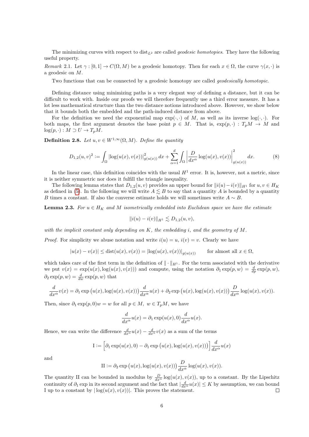The minimizing curves with respect to  $dist_{L^2}$  are called *geodesic homotopies*. They have the following useful property.

Remark 2.1. Let  $\gamma : [0,1] \to C(\Omega, M)$  be a geodesic homotopy. Then for each  $x \in \Omega$ , the curve  $\gamma(x, \cdot)$  is a geodesic on M.

Two functions that can be connected by a geodesic homotopy are called *geodesically homotopic*.

Defining distance using minimizing paths is a very elegant way of defining a distance, but it can be difficult to work with. Inside our proofs we will therefore frequently use a third error measure. It has a lot less mathematical structure than the two distance notions introduced above. However, we show below that it bounds both the embedded and the path-induced distance from above.

For the definition we need the exponential map  $exp(\cdot, \cdot)$  of M, as well as its inverse  $log(\cdot, \cdot)$ . For both maps, the first argument denotes the base point  $p \in M$ . That is,  $\exp(p, \cdot) : T_pM \to M$  and  $log(p, \cdot) : M \supset U \to T_pM$ .

**Definition 2.8.** Let  $u, v \in W^{1,\infty}(\Omega, M)$ . Define the quantity

<span id="page-6-0"></span>
$$
D_{1,2}(u,v)^2 := \int_{\Omega} |\log(u(x),v(x))|_{g(u(x))}^2 dx + \sum_{\alpha=1}^d \int_{\Omega} \left| \frac{D}{dx^{\alpha}} \log(u(x),v(x)) \right|_{g(u(x))}^2 dx.
$$
 (8)

In the linear case, this definition coincides with the usual  $H^1$  error. It is, however, not a metric, since it is neither symmetric nor does it fulfill the triangle inequality.

The following lemma states that  $D_{1,2}(u, v)$  provides an upper bound for  $||i(u)-i(v)||_{H^1}$  for  $u, v \in H_K$ as defined in [\(5\)](#page-5-1). In the following we will write  $A \leq B$  to say that a quantity A is bounded by a quantity B times a constant. If also the converse estimate holds we will sometimes write  $A \sim B$ .

<span id="page-6-1"></span>**Lemma 2.3.** For  $u \in H_K$  and M isometrically embedded into Euclidean space we have the estimate

$$
||i(u) - i(v)||_{H^1} \lesssim D_{1,2}(u,v),
$$

with the implicit constant only depending on  $K$ , the embedding i, and the geometry of  $M$ .

*Proof.* For simplicity we abuse notation and write  $i(u) = u$ ,  $i(v) = v$ . Clearly we have

$$
|u(x) - v(x)| \leq \text{dist}(u(x), v(x)) = |\log(u(x), v(x))|_{g(u(x))} \quad \text{for almost all } x \in \Omega,
$$

which takes care of the first term in the definition of  $\|\cdot\|_{H^1}$ . For the term associated with the derivative we put  $v(x) = \exp(u(x), \log(u(x), v(x)))$  and compute, using the notation  $\partial_1 \exp(p, w) = \frac{d}{dp} \exp(p, w)$ ,  $\partial_2 \exp(p, w) = \frac{d}{dw} \exp(p, w)$  that

$$
\frac{d}{dx^{\alpha}}v(x) = \partial_1 \exp(u(x), \log(u(x), v(x))) \frac{d}{dx^{\alpha}}u(x) + \partial_2 \exp(u(x), \log(u(x), v(x))) \frac{D}{dx^{\alpha}} \log(u(x), v(x)).
$$

Then, since  $\partial_1 \exp(p, 0)w = w$  for all  $p \in M$ ,  $w \in T_pM$ , we have

$$
\frac{d}{dx^{\alpha}}u(x) = \partial_1 \exp(u(x), 0) \frac{d}{dx^{\alpha}}u(x).
$$

Hence, we can write the difference  $\frac{d}{dx^{\alpha}}u(x) - \frac{d}{dx^{\alpha}}v(x)$  as a sum of the terms

$$
\mathcal{I} := \left[ \partial_1 \exp(u(x), 0) - \partial_1 \exp(u(x), \log(u(x), v(x))) \right] \frac{d}{dx^{\alpha}} u(x)
$$

and

$$
\text{II}:=\partial_2\exp\big(u(x),\log(u(x),v(x))\big)\frac{D}{dx^\alpha}\log(u(x),v(x)).
$$

The quantity II can be bounded in modulus by  $\frac{D}{dx^{\alpha}}\log(u(x), v(x))$ , up to a constant. By the Lipschitz continuity of  $\partial_1$  exp in its second argument and the fact that  $\left|\frac{d}{dx^{\alpha}}u(x)\right| \leq K$  by assumption, we can bound I up to a constant by  $|\log(u(x), v(x))|$ . This proves the statement.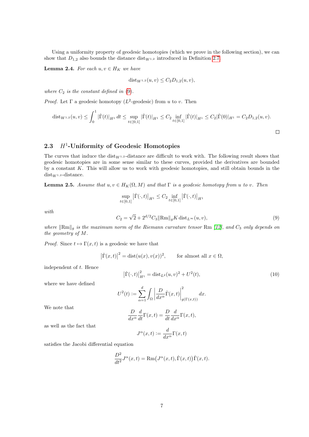Using a uniformity property of geodesic homotopies (which we prove in the following section), we can show that  $D_{1,2}$  also bounds the distance dist<sub>W1,2</sub> introduced in Definition [2.7.](#page-5-2)

<span id="page-7-4"></span>**Lemma 2.4.** For each  $u, v \in H_K$  we have

$$
dist_{W^{1,2}}(u, v) \leq C_2D_{1,2}(u, v),
$$

where  $C_2$  is the constant defined in  $(9)$ .

*Proof.* Let  $\Gamma$  a geodesic homotopy ( $L^2$ -geodesic) from u to v. Then

$$
\operatorname{dist}_{W^{1,2}}(u,v) \leq \int_0^1 |\dot{\Gamma}(t)|_{H^1} dt \leq \sup_{t \in [0,1]} |\dot{\Gamma}(t)|_{H^1} \leq C_2 \inf_{t \in [0,1]} |\dot{\Gamma}(t)|_{H^1} \leq C_2 |\dot{\Gamma}(0)|_{H^1} = C_2 D_{1,2}(u,v).
$$

# <span id="page-7-2"></span> $2.3$   $H^1$ -Uniformity of Geodesic Homotopies

The curves that induce the  $dist_{W^{1,2}}$ -distance are difficult to work with. The following result shows that geodesic homotopies are in some sense similar to these curves, provided the derivatives are bounded by a constant K. This will allow us to work with geodesic homotopies, and still obtain bounds in the  $dist_{W^{1,2}}$ -distance.

<span id="page-7-3"></span>**Lemma 2.5.** Assume that  $u, v \in H_K(\Omega, M)$  and that  $\Gamma$  is a geodesic homotopy from u to v. Then

<span id="page-7-0"></span>
$$
\sup_{t \in [0,1]} |\dot{\Gamma}(\cdot,t)|_{H^1} \le C_2 \inf_{t \in [0,1]} |\dot{\Gamma}(\cdot,t)|_{H^1}
$$
  

$$
C_2 = \sqrt{2} + 2^{d/2} C_3 \|\text{Rm}\|_{g} K \text{ dist}_{L^{\infty}}(u,v),
$$
 (9)

with

where  $\|\text{Rm}\|_q$  is the maximum norm of the Riemann curvature tensor Rm [\[12\]](#page-35-10), and  $C_3$  only depends on the geometry of M.

*Proof.* Since  $t \mapsto \Gamma(x, t)$  is a geodesic we have that

$$
|\dot{\Gamma}(x,t)|^2 = \text{dist}(u(x), v(x))^2
$$
, for almost all  $x \in \Omega$ ,

independent of t. Hence

<span id="page-7-1"></span>
$$
\left|\dot{\Gamma}(\cdot,t)\right|_{H^1}^2 = \text{dist}_{L^2}(u,v)^2 + U^2(t),\tag{10}
$$

where we have defined

$$
U^{2}(t) := \sum_{\alpha=1}^{d} \int_{\Omega} \left| \frac{D}{dx^{\alpha}} \dot{\Gamma}(x, t) \right|_{g(\Gamma(x, t))}^{2} dx.
$$

We note that

$$
\frac{D}{dx^{\alpha}}\frac{d}{dt}\Gamma(x,t) = \frac{D}{dt}\frac{d}{dx^{\alpha}}\Gamma(x,t),
$$

as well as the fact that

$$
J^{\alpha}(x,t) := \frac{d}{dx^{\alpha}} \Gamma(x,t)
$$

satisfies the Jacobi differential equation

$$
\frac{D^2}{dt^2}J^{\alpha}(x,t) = \text{Rm}(J^{\alpha}(x,t), \dot{\Gamma}(x,t))\dot{\Gamma}(x,t).
$$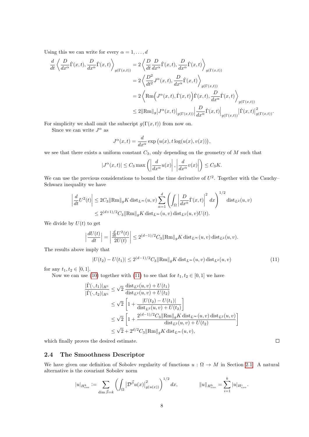Using this we can write for every  $\alpha = 1, \ldots, d$ 

$$
\frac{d}{dt} \left\langle \frac{D}{dx^{\alpha}} \dot{\Gamma}(x,t), \frac{D}{dx^{\alpha}} \dot{\Gamma}(x,t) \right\rangle_{g(\Gamma(x,t))} = 2 \left\langle \frac{D}{dt} \frac{D}{dx^{\alpha}} \dot{\Gamma}(x,t), \frac{D}{dx^{\alpha}} \dot{\Gamma}(x,t) \right\rangle_{g(\Gamma(x,t))}
$$
\n
$$
= 2 \left\langle \frac{D^2}{dt^2} J^{\alpha}(x,t), \frac{D}{dx^{\alpha}} \dot{\Gamma}(x,t) \right\rangle_{g(\Gamma(x,t))}
$$
\n
$$
= 2 \left\langle \text{Rm} \left( J^{\alpha}(x,t), \dot{\Gamma}(x,t) \right) \dot{\Gamma}(x,t), \frac{D}{dx^{\alpha}} \dot{\Gamma}(x,t) \right\rangle_{g(\Gamma(x,t))}
$$
\n
$$
\leq 2 \|\text{Rm}\|_{g} |J^{\alpha}(x,t)|_{g(\Gamma(x,t))} \left| \frac{D}{dx^{\alpha}} \dot{\Gamma}(x,t) \right|_{g(\Gamma(x,t))} \left| \dot{\Gamma}(x,t) \right|_{g(\Gamma(x,t))}^{2}.
$$

For simplicity we shall omit the subscript  $g(\Gamma(x,t))$  from now on.

Since we can write  $J^{\alpha}$  as

$$
J^{\alpha}(x,t) = \frac{d}{dx^{\alpha}} \exp(u(x), t \log(u(x), v(x))),
$$

we see that there exists a uniform constant  $C_3$ , only depending on the geometry of M such that

$$
|J^{\alpha}(x,t)| \leq C_3 \max\left(\left|\frac{d}{dx^{\alpha}}u(x)\right|, \left|\frac{d}{dx^{\alpha}}v(x)\right|\right) \leq C_3 K.
$$

We can use the previous considerations to bound the time derivative of  $U^2$ . Together with the Cauchy-Schwarz inequality we have

$$
\left| \frac{d}{dt} U^2(t) \right| \leq 2C_3 \|\text{Rm}\|_{g} K \operatorname{dist}_{L^{\infty}}(u, v) \sum_{\alpha=1}^{d} \left( \int_{\Omega} \left| \frac{D}{dx^{\alpha}} \dot{\Gamma}(x, t) \right|^2 dx \right)^{1/2} \operatorname{dist}_{L^2}(u, v)
$$
  

$$
\leq 2^{(d+1)/2} C_3 \|\text{Rm}\|_{g} K \operatorname{dist}_{L^{\infty}}(u, v) \operatorname{dist}_{L^2}(u, v) U(t).
$$

We divide by  $U(t)$  to get

$$
\left|\frac{dU(t)}{dt}\right| = \left|\frac{\frac{d}{dt}U^2(t)}{2U(t)}\right| \le 2^{(d-1)/2}C_3 \|\text{Rm}\|_g K \text{ dist}_{L^\infty}(u, v) \text{ dist}_{L^2}(u, v).
$$

The results above imply that

<span id="page-8-1"></span>
$$
|U(t_2) - U(t_1)| \le 2^{(d-1)/2} C_3 ||\text{Rm}||_g K \text{ dist}_{L^\infty}(u, v) \text{ dist}_{L^2}(u, v)
$$
\n(11)

for any  $t_1, t_2 \in [0, 1]$ .

Now we can use [\(10\)](#page-7-1) together with [\(11\)](#page-8-1) to see that for  $t_1, t_2 \in [0, 1]$  we have

$$
\frac{|\dot{\Gamma}(\cdot,t_1)|_{H^1}}{|\dot{\Gamma}(\cdot,t_2)|_{H^1}} \leq \sqrt{2} \frac{\text{dist}_{L^2}(u,v) + U(t_1)}{\text{dist}_{L^2}(u,v) + U(t_2)} \n\leq \sqrt{2} \left[ 1 + \frac{|U(t_2) - U(t_1)|}{\text{dist}_{L^2}(u,v) + U(t_2)} \right] \n\leq \sqrt{2} \left[ 1 + \frac{2^{(d-1)/2}C_3 \|\text{Rm}\|_g K \, \text{dist}_{L^{\infty}}(u,v) \, \text{dist}_{L^2}(u,v)}{\text{dist}_{L^2}(u,v) + U(t_2)} \right] \n\leq \sqrt{2} + 2^{d/2} C_3 \|\text{Rm}\|_g K \, \text{dist}_{L^{\infty}}(u,v),
$$

which finally proves the desired estimate.

#### <span id="page-8-0"></span>2.4 The Smoothness Descriptor

We have given one definition of Sobolev regularity of functions  $u : \Omega \to M$  in Section [2.1.](#page-3-1) A natural alternative is the covariant Sobolev norm

$$
|u|_{H_{cov}^k} := \sum_{\dim \vec{\beta}=k} \left( \int_{\Omega} \left| \mathcal{D}^{\vec{\beta}} u(x) \right|^2_{g(u(x))} \right)^{1/2} dx, \qquad \|u\|_{H_{cov}^k} = \sum_{i=1}^k |u|_{H_{cov}^i}.
$$

 $\Box$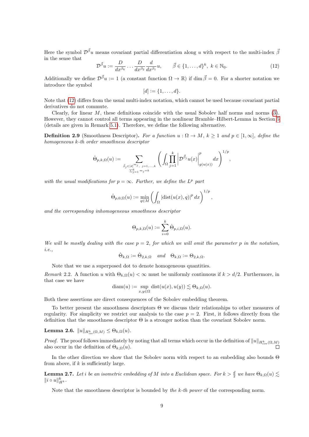Here the symbol  $\mathcal{D}^{\vec{\beta}}u$  means covariant partial differentiation along u with respect to the multi-index  $\bar{\beta}$ in the sense that

<span id="page-9-0"></span>
$$
\mathcal{D}^{\vec{\beta}}u := \frac{D}{dx^{\beta_k}} \dots \frac{D}{dx^{\beta_2}} \frac{d}{dx^{\beta_1}} u, \qquad \vec{\beta} \in \{1, \dots, d\}^k, \ k \in \mathbb{N}_0. \tag{12}
$$

Additionally we define  $\mathcal{D}^{\vec{\beta}}u:=1$  (a constant function  $\Omega\to\mathbb{R}$ ) if  $\dim\vec{\beta}=0$ . For a shorter notation we introduce the symbol

$$
[d] := \{1, \ldots, d\}.
$$

Note that [\(12\)](#page-9-0) differs from the usual multi-index notation, which cannot be used because covariant partial derivatives do not commute.

Clearly, for linear  $M$ , these definitions coincide with the usual Sobolev half norms and norms  $(3)$ . However, they cannot control all terms appearing in the nonlinear Bramble–Hilbert-Lemma in Section [5](#page-18-0) (details are given in Remark [5.1\)](#page-21-0). Therefore, we define the following alternative.

**Definition 2.9** (Smoothness Descriptor). For a function  $u : \Omega \to M$ ,  $k \geq 1$  and  $p \in [1,\infty]$ , define the homogeneous k-th order smoothness descriptor

$$
\dot{\Theta}_{p,k,\Omega}(u):=\sum_{\stackrel{\scriptstyle \vec\beta_j\in[d]^{m_j},\ j=1,...,k}{\sum_{j=1}^k m_j=k}}\Bigg(\int_\Omega\prod_{j=1}^k\bigg|{\cal D}^{\vec\beta_j}u(x)\bigg|^p_{g(u(x))}dx\Bigg)^{1/p},
$$

with the usual modifications for  $p = \infty$ . Further, we define the L<sup>p</sup> part

$$
\dot{\Theta}_{p,0,\Omega}(u) := \min_{q \in M} \left( \int_{\Omega} \left| \operatorname{dist}(u(x), q) \right|^p dx \right)^{1/p},
$$

and the corresponding inhomogeneous smoothness descriptor

$$
\Theta_{p,k,\Omega}(u):=\sum_{i=0}^k\dot{\Theta}_{p,i,\Omega}(u).
$$

We will be mostly dealing with the case  $p = 2$ , for which we will omit the parameter p in the notation, i.e.,

$$
\dot{\Theta}_{k,\Omega} := \dot{\Theta}_{2,k,\Omega} \quad and \quad \Theta_{k,\Omega} := \Theta_{2,k,\Omega}.
$$

Note that we use a superposed dot to denote homogeneous quantities.

Remark 2.2. A function u with  $\Theta_{k,\Omega}(u) < \infty$  must be uniformly continuous if  $k > d/2$ . Furthermore, in that case we have

$$
\mathrm{diam}(u):=\sup_{x,y\in\Omega}\mathrm{dist}(u(x),u(y))\lesssim\Theta_{k,\Omega}(u).
$$

Both these assertions are direct consequences of the Sobolev embedding theorem.

To better present the smoothness descriptors Θ we discuss their relationships to other measures of regularity. For simplicity we restrict our analysis to the case  $p = 2$ . First, it follows directly from the definition that the smoothness descriptor Θ is a stronger notion than the covariant Sobolev norm.

Lemma 2.6.  $\|u\|_{H_{cov}^k(\Omega,M)}\leq \Theta_{k,\Omega}(u).$ 

*Proof.* The proof follows immediately by noting that all terms which occur in the definition of  $||u||_{H_{\text{cov}}^k(\Omega,M)}$ also occur in the definition of  $\Theta_{k,\Omega}(u)$ .

In the other direction we show that the Sobolev norm with respect to an embedding also bounds Θ from above, if  $k$  is sufficiently large.

<span id="page-9-1"></span>**Lemma 2.7.** Let i be an isometric embedding of M into a Euclidean space. For  $k > \frac{d}{2}$  we have  $\Theta_{k,\Omega}(u) \lesssim$  $||i \circ u||_{H^k}^k$ .

Note that the smoothness descriptor is bounded by the k-th power of the corresponding norm.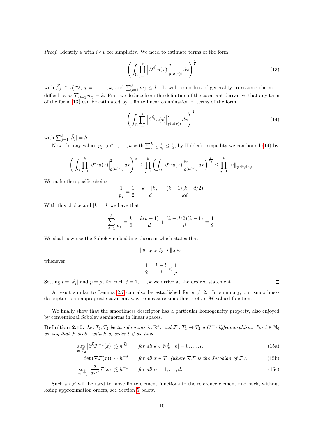*Proof.* Identify u with  $i \circ u$  for simplicity. We need to estimate terms of the form

<span id="page-10-0"></span>
$$
\left(\int_{\Omega} \prod_{j=1}^{k} \left| \mathcal{D}^{\vec{\beta}_j} u(x) \right|_{g(u(x))}^2 dx \right)^{\frac{1}{2}} \tag{13}
$$

with  $\vec{\beta}_j \in [d]^{m_j}$ ,  $j = 1, \ldots, k$ , and  $\sum_{j=1}^k m_j \leq k$ . It will be no loss of generality to assume the most difficult case  $\sum_{j=1}^{k} m_j = k$ . First we deduce from the definition of the covariant derivative that any term of the form [\(13\)](#page-10-0) can be estimated by a finite linear combination of terms of the form

<span id="page-10-1"></span>
$$
\left(\int_{\Omega} \prod_{j=1}^{k} \left| \partial^{\vec{k}_j} u(x) \right|_{g(u(x))}^2 dx\right)^{\frac{1}{2}},\tag{14}
$$

with  $\sum_{j=1}^{k} |\vec{k}_j| = k$ .

Now, for any values  $p_j, j \in 1, \ldots, k$  with  $\sum_{j=1}^k \frac{1}{p_j} \leq \frac{1}{2}$ , by Hölder's inequality we can bound [\(14\)](#page-10-1) by

$$
\bigg(\int_\Omega \prod_{j=1}^k \left|\partial^{\vec{k}_j}u(x)\right|^2_{g(u(x))}dx\bigg)^{\frac{1}{2}}\leq \prod_{j=1}^k\bigg(\int_\Omega \left|\partial^{\vec{k}_j}u(x)\right|_{g(u(x))}^{p_j}dx\bigg)^{\frac{1}{p_j}}\leq \prod_{j=1}^k\|u\|_{W^{\lfloor \vec{k}_j\rfloor, p_j}}.
$$

We make the specific choice

$$
\frac{1}{p_j} = \frac{1}{2} - \frac{k - |\vec{k}_j|}{d} + \frac{(k-1)(k - d/2)}{kd}.
$$

With this choice and  $|\vec{k}| = k$  we have that

$$
\sum_{j=1}^{k} \frac{1}{p_j} = \frac{k}{2} - \frac{k(k-1)}{d} + \frac{(k-d/2)(k-1)}{d} = \frac{1}{2}.
$$

We shall now use the Sobolev embedding theorem which states that

$$
||u||_{W^{l,p}} \lesssim ||u||_{W^{k,2}}
$$

whenever

$$
\frac{1}{2} - \frac{k-l}{d} < \frac{1}{p}.
$$

Setting  $l = |\vec{k}_j|$  and  $p = p_j$  for each  $j = 1, ..., k$  we arrive at the desired statement.

A result similar to Lemma [2.7](#page-9-1) can also be established for  $p \neq 2$ . In summary, our smoothness descriptor is an appropriate covariant way to measure smoothness of an M-valued function.

We finally show that the smoothness descriptor has a particular homogeneity property, also enjoyed by conventional Sobolev seminorms in linear spaces.

**Definition 2.10.** Let  $T_1, T_2$  be two domains in  $\mathbb{R}^d$ , and  $\mathcal{F}: T_1 \to T_2$  a  $C^{\infty}$ -diffeomorphism. For  $l \in \mathbb{N}_0$ we say that  $\mathcal F$  scales with h of order l if we have

$$
\sup_{x \in T_2} \left| \partial^{\vec{k}} \mathcal{F}^{-1}(x) \right| \lesssim h^{|\vec{k}|} \qquad \text{for all } \vec{k} \in \mathbb{N}_0^d, \ |\vec{k}| = 0, \dots, l,
$$
\n(15a)

$$
|\det(\nabla \mathcal{F}(x))| \sim h^{-d} \qquad \text{for all } x \in T_1 \text{ (where } \nabla \mathcal{F} \text{ is the Jacobian of } \mathcal{F}\text{)},\tag{15b}
$$

$$
\sup_{x \in T_1} \left| \frac{d}{dx^{\alpha}} \mathcal{F}(x) \right| \lesssim h^{-1} \qquad \text{for all } \alpha = 1, \dots, d. \tag{15c}
$$

Such an  $\mathcal F$  will be used to move finite element functions to the reference element and back, without losing approximation orders, see Section [5](#page-18-0) below.

<span id="page-10-4"></span><span id="page-10-3"></span><span id="page-10-2"></span> $\Box$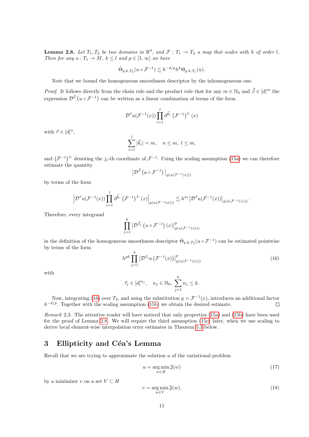<span id="page-11-2"></span>**Lemma 2.8.** Let  $T_1, T_2$  be two domains in  $\mathbb{R}^d$ , and  $\mathcal{F}: T_1 \to T_2$  a map that scales with h of order l. Then for any  $u: T_1 \to M$ ,  $k \leq l$  and  $p \in [1, \infty]$  we have

$$
\dot{\Theta}_{p,k,T_2}(u \circ \mathcal{F}^{-1}) \lesssim h^{-d/p} h^k \Theta_{p,k,T_1}(u).
$$

Note that we bound the homogeneous smoothness descriptor by the inhomogeneous one.

*Proof.* It follows directly from the chain rule and the product rule that for any  $m \in \mathbb{N}_0$  and  $\vec{\beta} \in [d]^m$  the expression  $\mathcal{D}^{\vec{\beta}}$   $(u \circ \mathcal{F}^{-1})$  can be written as a linear combination of terms of the form

$$
\mathcal{D}^{\vec{\tau}}u(\mathcal{F}^{-1}(x))\prod_{i=1}^{l}\partial^{\vec{k}_{i}}(\mathcal{F}^{-1})^{j_{i}}(x)
$$

with  $\vec{\tau} \in [d]^n$ ,

$$
\sum_{i=1}^l |\vec{k}_i| = m, \quad n \le m, \ l \le m,
$$

and  $(\mathcal{F}^{-1})^{j_i}$  denoting the j<sub>i</sub>-th coordinate of  $\mathcal{F}^{-1}$ . Using the scaling assumption [\(15a\)](#page-10-2) we can therefore estimate the quantity

$$
\left|\mathcal{D}^{\vec{\beta}}\left(u\circ\mathcal{F}^{-1}\right)\right|_{g\left(u\left(\mathcal{F}^{-1}\left(x\right)\right)\right)}
$$

by terms of the form

$$
\left|\mathcal{D}^{\vec{\tau}}u(\mathcal{F}^{-1}(x))\prod_{i=1}^l\partial^{\vec{k}_i}(\mathcal{F}^{-1})^{j_i}(x)\right|_{g(u(\mathcal{F}^{-1}(x)))}\lesssim h^m\left|\mathcal{D}^{\vec{\tau}}u(\mathcal{F}^{-1}(x))\right|_{g(u(\mathcal{F}^{-1}(x)))}.
$$

Therefore, every integrand

$$
\prod_{j=1}^k \left| \mathcal{D}^{\vec{\beta}_j} \left( u \circ \mathcal{F}^{-1} \right) (x) \right|_{g(u(\mathcal{F}^{-1}(x)))}^p
$$

in the definition of the homogeneous smoothness descriptor  $\dot{\Theta}_{p,k,T_2}(u \circ \mathcal{F}^{-1})$  can be estimated pointwise by terms of the form

<span id="page-11-1"></span>
$$
h^{pk} \prod_{j=1}^{k} \left| \mathcal{D}^{\vec{\tau}_j} u \left( \mathcal{F}^{-1}(x) \right) \right|_{g(u(\mathcal{F}^{-1}(x)))}^p
$$
 (16)

with

$$
\vec{\tau}_j \in [d]^{n_j}, \quad n_j \in \mathbb{N}_0, \ \sum_{j=1}^k n_j \leq k.
$$

Now, integrating [\(16\)](#page-11-1) over  $T_2$ , and using the substitution  $y = \mathcal{F}^{-1}(x)$ , introduces an additional factor  $h^{-d/p}$ . Together with the scaling assumption [\(15b\)](#page-10-3) we obtain the desired estimate.  $\Box$ 

Remark 2.3. The attentive reader will have noticed that only properties [\(15a\)](#page-10-2) and [\(15b\)](#page-10-3) have been used for the proof of Lemma [2.8.](#page-11-2) We will require the third assumption [\(15c\)](#page-10-4) later, when we use scaling to derive local element-wise interpolation error estimates in Theorem [5.3](#page-22-0) below.

# <span id="page-11-0"></span>3 Ellipticity and Céa's Lemma

Recall that we are trying to approximate the solution  $u$  of the variational problem

<span id="page-11-3"></span>
$$
u = \underset{w \in H}{\arg \min} \mathfrak{J}(w) \tag{17}
$$

by a minimizer v on a set  $V \subset H$ 

<span id="page-11-4"></span>
$$
v = \underset{w \in V}{\arg \min} \mathfrak{J}(w),\tag{18}
$$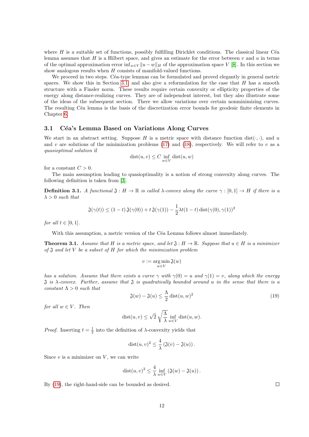where  $H$  is a suitable set of functions, possibly fulfilling Dirichlet conditions. The classical linear Céa lemma assumes that  $H$  is a Hilbert space, and gives an estimate for the error between  $v$  and  $u$  in terms of the optimal approximation error inf $w \in V \|u - w\|_H$  of the approximation space V [\[8\]](#page-35-11). In this section we show analogous results when H consists of manifold-valued functions.

We proceed in two steps. Céa-type lemmas can be formulated and proved elegantly in general metric spaces. We show this in Section [3.1,](#page-12-1) and also give a reformulation for the case that  $H$  has a smooth structure with a Finsler norm. These results require certain convexity or ellipticity properties of the energy along distance-realizing curves. They are of independent interest, but they also illustrate some of the ideas of the subsequent section. There we allow variations over certain nonminimizing curves. The resulting Céa lemma is the basis of the discretization error bounds for geodesic finite elements in Chapter [6.](#page-26-1)

#### <span id="page-12-1"></span>3.1 Céa's Lemma Based on Variations Along Curves

We start in an abstract setting. Suppose H is a metric space with distance function dist( $\cdot, \cdot$ ), and u and v are solutions of the minimization problems  $(17)$  and  $(18)$ , respectively. We will refer to v as a quasioptimal solution if

$$
dist(u, v) \le C \inf_{w \in V} dist(u, w)
$$

for a constant  $C > 0$ .

The main assumption leading to quasioptimality is a notion of strong convexity along curves. The following definition is taken from [\[3\]](#page-35-12).

**Definition 3.1.** A functional  $\mathfrak{J}: H \to \mathbb{R}$  is called  $\lambda$ -convex along the curve  $\gamma : [0,1] \to H$  if there is a  $\lambda > 0$  such that

$$
\mathfrak{J}(\gamma(t)) \le (1-t)\,\mathfrak{J}(\gamma(0)) + t\,\mathfrak{J}(\gamma(1)) - \frac{1}{2}\lambda t(1-t)\,\mathrm{dist}(\gamma(0), \gamma(1))^2
$$

for all  $t \in [0,1]$ .

With this assumption, a metric version of the Céa Lemma follows almost immediately.

<span id="page-12-0"></span>**Theorem 3.1.** Assume that H is a metric space, and let  $\mathfrak{J}: H \to \mathbb{R}$ . Suppose that  $u \in H$  is a minimizer of  $\mathfrak J$  and let V be a subset of H for which the minimization problem

$$
v \mathrel{\mathop:}= \argmin_{w \in V} \mathfrak{J}(w)
$$

has a solution. Assume that there exists a curve  $\gamma$  with  $\gamma(0) = u$  and  $\gamma(1) = v$ , along which the energy  $\mathfrak J$  is  $\lambda$ -convex. Further, assume that  $\mathfrak J$  is quadratically bounded around u in the sense that there is a constant  $\Lambda > 0$  such that

<span id="page-12-2"></span>
$$
\mathfrak{J}(w) - \mathfrak{J}(u) \le \frac{\Lambda}{2} \operatorname{dist}(u, w)^2 \tag{19}
$$

for all  $w \in V$ . Then

$$
dist(u, v) \le \sqrt{2} \sqrt{\frac{\Lambda}{\lambda}} \inf_{w \in V} dist(u, w).
$$

*Proof.* Inserting  $t = \frac{1}{2}$  into the definition of  $\lambda$ -convexity yields that

$$
dist(u, v)^{2} \leq \frac{4}{\lambda} \left( \mathfrak{J}(v) - \mathfrak{J}(u) \right).
$$

Since  $v$  is a minimizer on  $V$ , we can write

$$
dist(u, v)^2 \leq \frac{4}{\lambda} \inf_{w \in V} \left( \mathfrak{J}(w) - \mathfrak{J}(u) \right).
$$

By [\(19\)](#page-12-2), the right-hand-side can be bounded as desired.

 $\Box$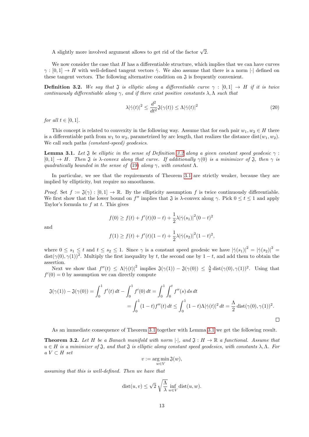A slightly more involved argument allows to get rid of the factor  $\sqrt{2}$ .

We now consider the case that  $H$  has a differentiable structure, which implies that we can have curves  $\gamma : [0,1] \to H$  with well-defined tangent vectors  $\dot{\gamma}$ . We also assume that there is a norm || defined on these tangent vectors. The following alternative condition on  $\mathfrak{J}$  is frequently convenient.

<span id="page-13-0"></span>**Definition 3.2.** We say that J is elliptic along a differentiable curve  $\gamma : [0,1] \rightarrow H$  if it is twice continuously differentiable along  $\gamma$ , and if there exist positive constants  $\lambda, \Lambda$  such that

<span id="page-13-2"></span>
$$
\lambda |\dot{\gamma}(t)|^2 \le \frac{d^2}{dt^2} \mathfrak{J}(\gamma(t)) \le \Lambda |\dot{\gamma}(t)|^2 \tag{20}
$$

for all  $t \in [0, 1]$ .

This concept is related to convexity in the following way. Assume that for each pair  $w_1, w_2 \in H$  there is a differentiable path from  $w_1$  to  $w_2$ , parametrized by arc length, that realizes the distance dist $(w_1, w_2)$ . We call such paths *(constant-speed) geodesics*.

<span id="page-13-1"></span>**Lemma 3.1.** Let  $\mathfrak J$  be elliptic in the sense of Definition [3.2](#page-13-0) along a given constant speed geodesic  $\gamma$ :  $[0,1] \rightarrow H$ . Then  $\mathfrak J$  is  $\lambda$ -convex along that curve. If additionally  $\gamma(0)$  is a minimizer of  $\mathfrak J$ , then  $\gamma$  is quadratically bounded in the sense of [\(19\)](#page-12-2) along  $\gamma$ , with constant  $\Lambda$ .

In particular, we see that the requirements of Theorem [3.1](#page-12-0) are strictly weaker, because they are implied by ellipticity, but require no smoothness.

*Proof.* Set  $f := \mathfrak{J}(\gamma) : [0,1] \to \mathbb{R}$ . By the ellipticity assumption f is twice continuously differentiable. We first show that the lower bound on  $f''$  implies that  $\mathfrak J$  is  $\lambda$ -convex along  $\gamma$ . Pick  $0 \le t \le 1$  and apply Taylor's formula to  $f$  at  $t$ . This gives

and

$$
f(0) \ge f(t) + f'(t)(0 - t) + \frac{1}{2}\lambda |\dot{\gamma}(s_1)|^2 (0 - t)^2
$$

$$
f(1) \ge f(t) + f'(t)(1-t) + \frac{1}{2}\lambda |\dot{\gamma}(s_2)|^2 (1-t)^2,
$$

where  $0 \leq s_1 \leq t$  and  $t \leq s_2 \leq 1$ . Since  $\gamma$  is a constant speed geodesic we have  $|\dot{\gamma}(s_1)|^2 = |\dot{\gamma}(s_2)|^2 =$  $dist(\gamma(0), \gamma(1))^2$ . Multiply the first inequality by t, the second one by  $1-t$ , and add them to obtain the assertion.

Next we show that  $f''(t) \leq \Lambda |\dot{\gamma}(t)|^2$  implies  $\mathfrak{J}(\gamma(1)) - \mathfrak{J}(\gamma(0)) \leq \frac{\Lambda}{2} \text{dist}(\gamma(0), \gamma(1))^2$ . Using that  $f'(0) = 0$  by assumption we can directly compute

$$
\mathfrak{J}(\gamma(1)) - \mathfrak{J}(\gamma(0)) = \int_0^1 f'(t) dt - \int_0^1 f'(0) dt = \int_0^1 \int_0^t f''(s) ds dt
$$
  
= 
$$
\int_0^1 (1-t) f''(t) dt \le \int_0^1 (1-t) \Lambda |\dot{\gamma}(t)|^2 dt = \frac{\Lambda}{2} \text{dist}(\gamma(0), \gamma(1))^2.
$$

As an immediate consequence of Theorem [3.1](#page-12-0) together with Lemma [3.1](#page-13-1) we get the following result.

**Theorem 3.2.** Let H be a Banach manifold with norm  $|\cdot|$ , and  $\mathfrak{J}: H \to \mathbb{R}$  a functional. Assume that  $u \in H$  is a minimizer of  $\mathfrak J$ , and that  $\mathfrak J$  is elliptic along constant speed geodesics, with constants  $\lambda, \Lambda$ . For  $a V \subset H$  set

$$
v:=\mathop{\arg\min}\limits_{w\in V} \mathfrak{J}(w),
$$

assuming that this is well-defined. Then we have that

$$
dist(u, v) \le \sqrt{2} \sqrt{\frac{\Lambda}{\lambda}} \inf_{w \in V} dist(u, w).
$$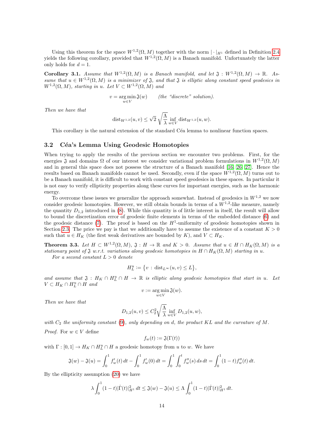Using this theorem for the space  $W^{1,2}(\Omega,M)$  together with the norm  $|\cdot|_{H^1}$  defined in Definition [2.4](#page-4-1) yields the following corollary, provided that  $W^{1,2}(\Omega,M)$  is a Banach manifold. Unfortunately the latter only holds for  $d = 1$ .

**Corollary 3.1.** Assume that  $W^{1,2}(\Omega,M)$  is a Banach manifold, and let  $\mathfrak{J}: W^{1,2}(\Omega,M) \to \mathbb{R}$ . Assume that  $u \in W^{1,2}(\Omega,M)$  is a minimizer of  $\mathfrak{J}$ , and that  $\mathfrak{J}$  is elliptic along constant speed geodesics in  $W^{1,2}(\Omega,M)$ , starting in u. Let  $V \subset W^{1,2}(\Omega,M)$  and

> $v = \underset{w \in V}{\arg \min}$ (the "discrete" solution).

Then we have that

$$
\mathrm{dist}_{W^{1,2}}(u,v) \leq \sqrt{2} \sqrt{\frac{\Lambda}{\lambda}} \inf_{w \in V} \mathrm{dist}_{W^{1,2}}(u,w).
$$

This corollary is the natural extension of the standard Céa lemma to nonlinear function spaces.

#### <span id="page-14-1"></span>3.2 Céa's Lemma Using Geodesic Homotopies

When trying to apply the results of the previous section we encounter two problems. First, for the energies  $\mathfrak J$  and domains  $\Omega$  of our interest we consider variational problem formulations in  $W^{1,2}(\Omega,M)$ and in general this space does not possess the structure of a Banach manifold [\[16,](#page-35-13) [26,](#page-36-14) [27\]](#page-36-15). Hence the results based on Banach manifolds cannot be used. Secondly, even if the space  $W^{1,2}(\Omega,M)$  turns out to be a Banach manifold, it is difficult to work with constant speed geodesics in these spaces. In particular it is not easy to verify ellipticity properties along these curves for important energies, such as the harmonic energy.

To overcome these issues we generalize the approach somewhat. Instead of geodesics in  $W^{1,2}$  we now consider geodesic homotopies. However, we still obtain bounds in terms of a  $W^{1,2}$ -like measure, namely the quantity  $D_{1,2}$  introduced in [\(8\)](#page-6-0). While this quantity is of little interest in itself, the result will allow to bound the discretization error of geodesic finite elements in terms of the embedded distance [\(6\)](#page-5-3) and the geodesic distance [\(7\)](#page-5-4). The proof is based on the  $H^1$ -uniformity of geodesic homotopies shown in Section [2.3.](#page-7-2) The price we pay is that we additionally have to assume the existence of a constant  $K > 0$ such that  $u \in H_K$  (the first weak derivatives are bounded by K), and  $V \subset H_K$ .

<span id="page-14-0"></span>**Theorem 3.3.** Let  $H \subset W^{1,2}(\Omega,M)$ ,  $\mathfrak{J}: H \to \mathbb{R}$  and  $K > 0$ . Assume that  $u \in H \cap H_K(\Omega,M)$  is a stationary point of  $\mathfrak J$  w.r.t. variations along geodesic homotopies in  $H \cap H_K(\Omega, M)$  starting in u.

For a second constant  $L > 0$  denote

$$
H_L^u := \{ v : \operatorname{dist}_{L^{\infty}}(u, v) \le L \},
$$

and assume that  $\mathfrak{J}: H_K \cap H_L^u \cap H \to \mathbb{R}$  is elliptic along geodesic homotopies that start in u. Let  $V \subset H_K \cap H_L^u \cap H$  and

$$
v:=\mathop{\arg\min}\limits_{w\in V}\mathfrak{J}(w).
$$

Then we have that

$$
D_{1,2}(u, v) \le C_2^2 \sqrt{\frac{\Lambda}{\lambda}} \inf_{w \in V} D_{1,2}(u, w),
$$

with  $C_2$  the uniformity constant [\(9\)](#page-7-0), only depending on d, the product KL and the curvature of M. *Proof.* For  $w \in V$  define

$$
f_w(t) := \mathfrak{J}(\Gamma(t))
$$

with  $\Gamma : [0,1] \to H_K \cap H_L^u \cap H$  a geodesic homotopy from u to w. We have

$$
\mathfrak{J}(w) - \mathfrak{J}(u) = \int_0^1 f'_w(t) dt - \int_0^1 f'_w(0) dt = \int_0^1 \int_0^t f''_w(s) ds dt = \int_0^1 (1-t) f''_w(t) dt.
$$

By the ellipticity assumption [\(20\)](#page-13-2) we have

$$
\lambda \int_0^1 (1-t) |\dot{\Gamma}(t)|_{H^1}^2 dt \le \mathfrak{J}(w) - \mathfrak{J}(u) \le \Lambda \int_0^1 (1-t) |\dot{\Gamma}(t)|_{H^1}^2 dt.
$$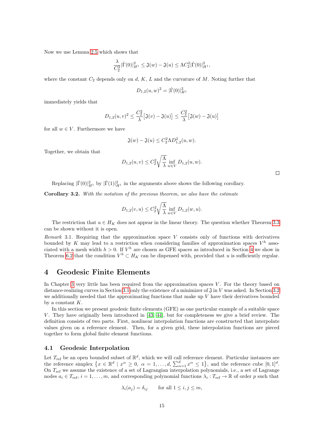Now we use Lemma [2.5](#page-7-3) which shows that

$$
\frac{\lambda}{C_2^2}|\dot{\Gamma}(0)|_{H^1}^2 \le \mathfrak{J}(w) - \mathfrak{J}(u) \le \Lambda C_2^2|\dot{\Gamma}(0)|_{H^1}^2,
$$

where the constant  $C_2$  depends only on d, K, L and the curvature of M. Noting further that

$$
D_{1,2}(u,w)^2 = |\dot{\Gamma}(0)|_{H^1}^2
$$

immediately yields that

$$
D_{1,2}(u,v)^2 \leq \frac{C_2^2}{\lambda} \big[\mathfrak{J}(v) - \mathfrak{J}(u)\big] \leq \frac{C_2^2}{\lambda} \big[\mathfrak{J}(w) - \mathfrak{J}(u)\big]
$$

for all  $w \in V$ . Furthermore we have

$$
\mathfrak{J}(w) - \mathfrak{J}(u) \le C_2^2 \Lambda D_{1,2}^2(u, w).
$$

Together, we obtain that

$$
D_{1,2}(u, v) \le C_2^2 \sqrt{\frac{\Lambda}{\lambda}} \inf_{w \in V} D_{1,2}(u, w).
$$

Replacing  $|\dot{\Gamma}(0)|_{H^1}^2$  by  $|\dot{\Gamma}(1)|_{H^1}^2$  in the arguments above shows the following corollary.

Corollary 3.2. With the notation of the previous theorem, we also have the estimate

$$
D_{1,2}(v, u) \le C_2^2 \sqrt{\frac{\Lambda}{\lambda}} \inf_{w \in V} D_{1,2}(w, u).
$$

The restriction that  $u \in H_K$  does not appear in the linear theory. The question whether Theorem [3.3](#page-14-0) can be shown without it is open.

Remark 3.1. Requiring that the approximation space  $V$  consists only of functions with derivatives bounded by K may lead to a restriction when considering families of approximation spaces  $V^h$  associated with a mesh width  $h > 0$ . If  $V^h$  are chosen as GFE spaces as introduced in Section [4](#page-15-0) we show in Theorem [6.2](#page-27-0) that the condition  $V^h \subset H_K$  can be dispensed with, provided that u is sufficiently regular.

# <span id="page-15-0"></span>4 Geodesic Finite Elements

In Chapter [3](#page-11-0) very little has been required from the approximation spaces  $V$ . For the theory based on distance-realizing curves in Section [3.1](#page-12-1) only the existence of a minimizer of  $\mathfrak{J}$  in V was asked. In Section [3.2](#page-14-1) we additionally needed that the approximating functions that make up  $V$  have their derivatives bounded by a constant  $K$ .

In this section we present geodesic finite elements (GFE) as one particular example of a suitable space V. They have originally been introduced in [\[43,](#page-36-9) [44\]](#page-36-10), but for completeness we give a brief review. The definition consists of two parts. First, nonlinear interpolation functions are constructed that interpolate values given on a reference element. Then, for a given grid, these interpolation functions are pieced together to form global finite element functions.

#### 4.1 Geodesic Interpolation

Let  $T_{\text{ref}}$  be an open bounded subset of  $\mathbb{R}^d$ , which we will call reference element. Particular instances are the reference simplex  $\{x \in \mathbb{R}^d \mid x^\alpha \geq 0, \alpha = 1, \ldots, d, \sum_{\alpha=1}^d x^\alpha \leq 1\}$ , and the reference cube  $[0, 1]^d$ . On  $T_{\text{ref}}$  we assume the existence of a set of Lagrangian interpolation polynomials, i.e., a set of Lagrange nodes  $a_i \in T_{\text{ref}}, i = 1, \ldots, m$ , and corresponding polynomial functions  $\lambda_i : T_{\text{ref}} \to \mathbb{R}$  of order p such that

$$
\lambda_i(a_j) = \delta_{ij} \qquad \text{for all } 1 \le i, j \le m,
$$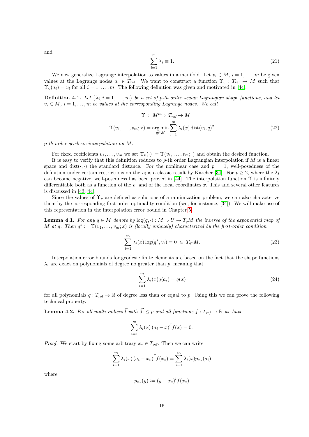and

<span id="page-16-3"></span><span id="page-16-1"></span>
$$
\sum_{i=1}^{m} \lambda_i \equiv 1. \tag{21}
$$

We now generalize Lagrange interpolation to values in a manifold. Let  $v_i \in M$ ,  $i = 1, \ldots, m$  be given values at the Lagrange nodes  $a_i \in T_{\text{ref}}$ . We want to construct a function  $\Upsilon_v : T_{\text{ref}} \to M$  such that  $\Upsilon_v(a_i) = v_i$  for all  $i = 1, ..., m$ . The following definition was given and motivated in [\[44\]](#page-36-10).

**Definition 4.1.** Let  $\{\lambda_i, i = 1, \ldots, m\}$  be a set of p-th order scalar Lagrangian shape functions, and let  $v_i \in M$ ,  $i = 1, \ldots, m$  be values at the corresponding Lagrange nodes. We call

$$
\Upsilon : M^m \times T_{ref} \to M
$$
  

$$
\Upsilon(v_1, \dots, v_m; x) = \underset{q \in M}{\text{arg min}} \sum_{i=1}^m \lambda_i(x) \operatorname{dist}(v_i, q)^2
$$
 (22)

p-th order geodesic interpolation on M.

For fixed coefficients  $v_1, \ldots, v_m$  we set  $\Upsilon_v(\cdot) := \Upsilon(v_1, \ldots, v_m; \cdot)$  and obtain the desired function.

It is easy to verify that this definition reduces to  $p$ -th order Lagrangian interpolation if M is a linear space and dist $(\cdot, \cdot)$  the standard distance. For the nonlinear case and  $p = 1$ , well-posedness of the definition under certain restrictions on the  $v_i$  is a classic result by Karcher [\[34\]](#page-36-16). For  $p \ge 2$ , where the  $\lambda_i$ can become negative, well-posedness has been proved in [\[44\]](#page-36-10). The interpolation function  $\Upsilon$  is infinitely differentiable both as a function of the  $v_i$  and of the local coordinates x. This and several other features is discussed in [\[43,](#page-36-9) [44\]](#page-36-10).

Since the values of  $\Upsilon_v$  are defined as solutions of a minimization problem, we can also characterize them by the corresponding first-order optimality condition (see, for instance, [\[34\]](#page-36-16)). We will make use of this representation in the interpolation error bound in Chapter [5.](#page-18-0)

**Lemma 4.1.** For any  $q \in M$  denote by  $log(q, \cdot) : M \supset U \to T_qM$  the inverse of the exponential map of M at q. Then  $q^* := \Upsilon(v_1, \ldots, v_m; x)$  is (locally uniquely) characterized by the first-order condition

<span id="page-16-2"></span>
$$
\sum_{i=1}^{m} \lambda_i(x) \log(q^*, v_i) = 0 \in T_{q^*} M.
$$
\n(23)

Interpolation error bounds for geodesic finite elements are based on the fact that the shape functions  $\lambda_i$  are exact on polynomials of degree no greater than p, meaning that

<span id="page-16-0"></span>
$$
\sum_{i=1}^{m} \lambda_i(x) q(a_i) = q(x) \tag{24}
$$

for all polynomials  $q: T_{ref} \to \mathbb{R}$  of degree less than or equal to p. Using this we can prove the following technical property.

<span id="page-16-4"></span>**Lemma 4.2.** For all multi-indices  $\vec{l}$  with  $|\vec{l}| \leq p$  and all functions  $f : T_{ref} \to \mathbb{R}$  we have

$$
\sum_{i=1}^{m} \lambda_i(x) (a_i - x)^{\vec{l}} f(x) = 0.
$$

*Proof.* We start by fixing some arbitrary  $x_* \in T_{\text{ref}}$ . Then we can write

$$
\sum_{i=1}^{m} \lambda_i(x) (a_i - x_*)^{\vec{l}} f(x_*) = \sum_{i=1}^{m} \lambda_i(x) p_{x_*}(a_i)
$$

where

$$
p_{x_*}(y) := (y - x_*)^{\vec{l}} f(x_*)
$$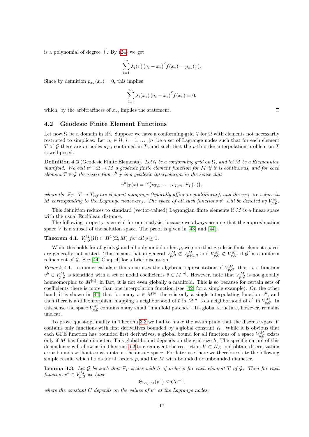is a polynomial of degree  $|\vec{l}|$ . By [\(24\)](#page-16-0) we get

$$
\sum_{i=1}^{m} \lambda_i(x) (a_i - x_*)^{\vec{l}} f(x_*) = p_{x_*}(x).
$$

Since by definition  $p_{x_*}(x_*)=0$ , this implies

$$
\sum_{i=1}^{m} \lambda_i(x_*) (a_i - x_*)^{\vec{l}} f(x_*) = 0,
$$

which, by the arbitrariness of  $x_*$ , implies the statement.

#### 4.2 Geodesic Finite Element Functions

Let now  $\Omega$  be a domain in  $\mathbb{R}^d$ . Suppose we have a conforming grid G for  $\Omega$  with elements not necessarily restricted to simplices. Let  $n_i \in \Omega$ ,  $i = 1, \ldots, |n|$  be a set of Lagrange nodes such that for each element T of G there are m nodes  $a_{T,i}$  contained in T, and such that the p-th order interpolation problem on T is well posed.

**Definition 4.2** (Geodesic Finite Elements). Let G be a conforming grid on  $\Omega$ , and let M be a Riemannian manifold. We call  $v^h : \Omega \to M$  a geodesic finite element function for M if it is continuous, and for each element  $T \in \mathcal{G}$  the restriction  $v^h|_T$  is a geodesic interpolation in the sense that

$$
v^h|_T(x) = \Upsilon(v_{T,1}, \ldots, v_{T,m}; \mathcal{F}_T(x)),
$$

where the  $\mathcal{F}_T: T \to T_{ref}$  are element mappings (typically affine or multilinear), and the  $v_{T,i}$  are values in M corresponding to the Lagrange nodes  $a_{T,i}$ . The space of all such functions  $v^h$  will be denoted by  $V_{p,Q}^M$ .

This definition reduces to standard (vector-valued) Lagrangian finite elements if  $M$  is a linear space with the usual Euclidean distance.

The following property is crucial for our analysis, because we always assume that the approximation space  $V$  is a subset of the solution space. The proof is given in [\[43\]](#page-36-9) and [\[44\]](#page-36-10).

**Theorem 4.1.**  $V_{p,G}^M(\Omega) \subset H^1(\Omega,M)$  for all  $p \geq 1$ .

While this holds for all grids  $G$  and all polynomial orders  $p$ , we note that geodesic finite element spaces are generally not nested. This means that in general  $V_{p,G}^M \not\subset V_{p+1,G}^M$  and  $V_{p,G}^M \not\subset V_{p,G}^M$  if  $\mathcal{G}'$  is a uniform refinement of  $G$ . See [\[44,](#page-36-10) Chap. 4] for a brief discussion.

Remark 4.1. In numerical algorithms one uses the algebraic representation of  $V_{p,\mathcal{G}}^M$ , that is, a function  $v^h \in V_{p,Q}^M$  is identified with a set of nodal coefficients  $\bar{v} \in M^{[n]}$ . However, note that  $V_{p,Q}^M$  is not globally homeomorphic to  $M^{[n]}$ ; in fact, it is not even globally a manifold. This is so because for certain sets of coefficients there is more than one interpolation function (see [\[42\]](#page-36-8) for a simple example). On the other hand, it is shown in [\[44\]](#page-36-10) that for many  $\bar{v} \in M^{n}$  there is only a single interpolating function  $v^h$ , and then there is a diffeomorphism mapping a neighborhood of  $\bar{v}$  in  $M^{|n|}$  to a neighborhood of  $v^h$  in  $V_{p,\mathcal{G}}^M$ . In this sense the space  $V_{p,Q}^M$  contains many small "manifold patches". Its global structure, however, remains unclear.

To prove quasi-optimality in Theorem [3.3](#page-14-0) we had to make the assumption that the discrete space  $V$ contains only functions with first derivatives bounded by a global constant  $K$ . While it is obvious that each GFE function has bounded first derivatives, a global bound for all functions of a space  $V_{p,\mathcal{G}}^M$  exists only if  $M$  has finite diameter. This global bound depends on the grid size  $h$ . The specific nature of this dependence will allow us in Theorem [6.2](#page-27-0) to circumvent the restriction  $V \subset H_K$  and obtain discretization error bounds without constraints on the ansatz space. For later use there we therefore state the following simple result, which holds for all orders  $p$ , and for  $M$  with bounded or unbounded diameter.

<span id="page-17-0"></span>**Lemma 4.3.** Let G be such that  $\mathcal{F}_T$  scales with h of order p for each element T of G. Then for each function  $v^h \in V_{p,\mathcal{G}}^M$  we have

$$
\Theta_{\infty,1,\Omega}(v^h) \le Ch^{-1},
$$

where the constant C depends on the values of  $v^h$  at the Lagrange nodes.

 $\Box$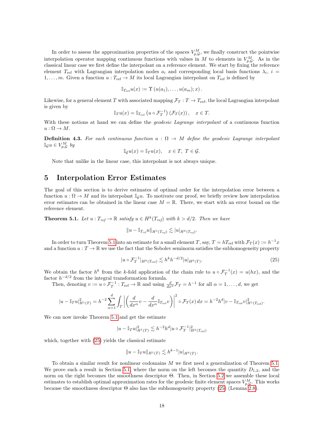In order to assess the approximation properties of the spaces  $V_{p,\mathcal{G}}^M$ , we finally construct the pointwise interpolation operator mapping continuous functions with values in M to elements in  $V_{p,Q}^M$ . As in the classical linear case we first define the interpolant on a reference element. We start by fixing the reference element  $T_{\text{ref}}$  with Lagrangian interpolation nodes  $a_i$  and corresponding local basis functions  $\lambda_i$ ,  $i =$  $1, \ldots, m$ . Given a function  $u : T_{\text{ref}} \to M$  its local Lagrangian interpolant on  $T_{\text{ref}}$  is defined by

$$
\mathbb{I}_{T_{\text{ref}}} u(x) := \Upsilon(u(a_1), \ldots, u(a_m); x).
$$

Likewise, for a general element T with associated mapping  $\mathcal{F}_T : T \to T_{\text{ref}}$ , the local Lagrangian interpolant is given by

$$
\mathbb{I}_{T}u(x) = \mathbb{I}_{T_{\text{ref}}}\left(u \circ \mathcal{F}_{T}^{-1}\right)\left(\mathcal{F}_{T}(x)\right), \quad x \in T.
$$

With these notions at hand we can define the *geodesic Lagrange interpolant* of a continuous function  $u : \Omega \to M$ .

**Definition 4.3.** For each continuous function  $u : \Omega \to M$  define the geodesic Lagrange interpolant  $\mathbb{I}_{\mathcal{G}}u \in V_{p,\mathcal{G}}^{M}$  by

$$
\mathbb{I}_{\mathcal{G}}u(x) = \mathbb{I}_{T}u(x), \quad x \in T, \ T \in \mathcal{G}.
$$

Note that unlike in the linear case, this interpolant is not always unique.

# <span id="page-18-0"></span>5 Interpolation Error Estimates

The goal of this section is to derive estimates of optimal order for the interpolation error between a function  $u : \Omega \to M$  and its interpolant  $\mathbb{I}_{q} u$ . To motivate our proof, we briefly review how interpolation error estimates can be obtained in the linear case  $M = \mathbb{R}$ . There, we start with an error bound on the reference element.

<span id="page-18-1"></span>**Theorem 5.1.** Let  $u: T_{ref} \to \mathbb{R}$  satisfy  $u \in H^k(T_{ref})$  with  $k > d/2$ . Then we have

$$
||u - \mathbb{I}_{T_{ref}} u||_{H^1(T_{ref})} \lesssim |u|_{H^k(T_{ref})}.
$$

In order to turn Theorem [5.1](#page-18-1) into an estimate for a small element T, say,  $T = hT_{\text{ref}}$  with  $\mathcal{F}_T(x) := h^{-1}x$ and a function  $u: T \to \mathbb{R}$  we use the fact that the Sobolev seminorm satisfies the subhomogeneity property

<span id="page-18-2"></span>
$$
|u \circ \mathcal{F}_T^{-1}|_{H^k(T_{\text{ref}})} \lesssim h^k h^{-d/2} |u|_{H^k(T)}.
$$
\n
$$
(25)
$$

We obtain the factor  $h^k$  from the k-fold application of the chain rule to  $u \circ \mathcal{F}_T^{-1}(x) = u(hx)$ , and the factor  $h^{-d/2}$  from the integral transformation formula.

Then, denoting  $v := u \circ \mathcal{F}_T^{-1} : T_{\text{ref}} \to \mathbb{R}$  and using  $\frac{d}{dx^{\alpha}} \mathcal{F}_T = h^{-1}$  for all  $\alpha = 1, \ldots, d$ , we get

$$
|u - \mathbb{I}_T u|_{H^1(T)}^2 = h^{-2} \sum_{\alpha=1}^d \int_T \left| \left( \frac{d}{dx^{\alpha}} v - \frac{d}{dx^{\alpha}} \mathbb{I}_{T_{\text{ref}}} v \right) \right|^2 \circ \mathcal{F}_T(x) dx = h^{-2} h^d |v - \mathbb{I}_{T_{\text{ref}}} v|_{H^1(T_{\text{ref}})}^2.
$$

We can now invoke Theorem [5.1](#page-18-1) and get the estimate

$$
|u - \mathbb{I}_T u|_{H^1(T)}^2 \lesssim h^{-2} h^d |u \circ \mathcal{F}_T^{-1}|_{H^k(T_{\text{ref}})}^2
$$

which, together with [\(25\)](#page-18-2) yields the classical estimate

$$
||u - \mathbb{I}_T u||_{H^1(T)} \lesssim h^{k-1} |u|_{H^k(T)}.
$$

To obtain a similar result for nonlinear codomains M we first need a generalization of Theorem [5.1.](#page-18-1) We prove such a result in Section [5.1,](#page-19-0) where the norm on the left becomes the quantity  $D_{1,2}$ , and the norm on the right becomes the smoothness descriptor Θ. Then, in Section [5.2](#page-23-0) we assemble these local estimates to establish optimal approximation rates for the geodesic finite element spaces  $V_{p,G}^M$ . This works because the smoothness descriptor  $\Theta$  also has the subhomogeneity property [\(25\)](#page-18-2) (Lemma [2.8\)](#page-11-2).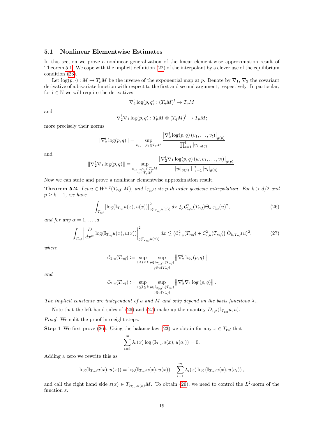### <span id="page-19-0"></span>5.1 Nonlinear Elementwise Estimates

In this section we prove a nonlinear generalization of the linear element-wise approximation result of Theorem [5.1.](#page-18-1) We cope with the implicit definition [\(22\)](#page-16-1) of the interpolant by a clever use of the equilibrium condition [\(23\)](#page-16-2).

Let  $\log(p, \cdot) : M \to T_pM$  be the inverse of the exponential map at p. Denote by  $\nabla_1$ ,  $\nabla_2$  the covariant derivative of a bivariate function with respect to the first and second argument, respectively. In particular, for  $l \in \mathbb{N}$  we will require the derivatives

$$
\nabla_2^l \log(p, q) : (T_q M)^l \to T_p M
$$

and

$$
\nabla_2^l \nabla_1 \log(p, q) : T_p M \otimes (T_q M)^l \to T_p M;
$$

more precisely their norms

$$
\|\nabla_2^l \log(p, q)\| = \sup_{v_1, \dots, v_l \in T_q M} \frac{\left|\nabla_2^l \log(p, q) (v_1, \dots, v_l)\right|_{g(p)}}{\prod_{i=1}^l |v_i|_{g(q)}}
$$

and

$$
\|\nabla_2^l \nabla_1 \log(p, q)\| = \sup_{\substack{v_1, \dots, v_l \in T_q M \\ w \in T_p M}} \frac{\left|\nabla_2^l \nabla_1 \log(p, q) (w, v_1, \dots, v_l)\right|_{g(p)}}{|w|_{g(p)} \prod_{i=1}^l |v_i|_{g(q)}}
$$

Now we can state and prove a nonlinear elementwise approximation result.

<span id="page-19-3"></span>**Theorem 5.2.** Let  $u \in W^{k,2}(T_{ref}, M)$ , and  $\mathbb{I}_{T_{ref}} u$  its p-th order geodesic interpolation. For  $k > d/2$  and  $p \geq k - 1$ , we have

<span id="page-19-1"></span>
$$
\int_{T_{ref}} \left| \log(\mathbb{I}_{T_{ref}} u(x), u(x)) \right|_{g(\mathbb{I}_{T_{ref}} u(x))}^2 dx \lesssim \mathcal{C}_{1,u}^2(T_{ref}) \dot{\Theta}_{k, T_{ref}}(u)^2,
$$
\n(26)

.

and for any  $\alpha = 1, \ldots, d$ 

<span id="page-19-2"></span>
$$
\int_{T_{ref}} \left| \frac{D}{dx^{\alpha}} \log(\mathbb{I}_{T_{ref}} u(x), u(x)) \right|_{g(\mathbb{I}_{T_{ref}} u(x))}^2 dx \lesssim \left( \mathcal{C}_{1,u}^2(T_{ref}) + \mathcal{C}_{2,u}^2(T_{ref}) \right) \dot{\Theta}_{k,T_{ref}}(u)^2,
$$
\n(27)

where

$$
\mathcal{C}_{1,u}(T_{ref}) := \sup_{1 \leq l \leq k} \sup_{\substack{p \in \mathbb{I}_{T_{ref}} u(T_{ref}) \\ q \in u(T_{ref})}} \left\| \nabla_2^l \log (p, q) \right\|
$$

and

$$
C_{2,u}(T_{ref}) := \sup_{1 \leq l \leq k} \sup_{\substack{p \in \mathbb{I}_{T_{ref}}u(T_{ref}) \\ q \in u(T_{ref})}} \left\| \nabla_2^l \nabla_1 \log (p, q) \right\|.
$$

The implicit constants are independent of u and M and only depend on the basis functions  $\lambda_i$ .

Note that the left hand sides of [\(26\)](#page-19-1) and [\(27\)](#page-19-2) make up the quantity  $D_{1,2}(\mathbb{I}_{T_{\text{ref}}}u, u)$ .

Proof. We split the proof into eight steps.

**Step 1** We first prove [\(26\)](#page-19-1). Using the balance law [\(23\)](#page-16-2) we obtain for any  $x \in T_{ref}$  that

$$
\sum_{i=1}^{m} \lambda_i(x) \log \left( \mathbb{I}_{T_{\text{ref}}} u(x), u(a_i) \right) = 0.
$$

Adding a zero we rewrite this as

$$
\log(\mathbb{I}_{T_{\text{ref}}}u(x),u(x)) = \log(\mathbb{I}_{T_{\text{ref}}}u(x),u(x)) - \sum_{i=1}^{m} \lambda_i(x) \log(\mathbb{I}_{T_{\text{ref}}}u(x),u(a_i)),
$$

and call the right hand side  $\varepsilon(x) \in T_{\mathbb{I}_{T_{ref}}u(x)}M$ . To obtain [\(26\)](#page-19-1), we need to control the  $L^2$ -norm of the function  $\varepsilon$ .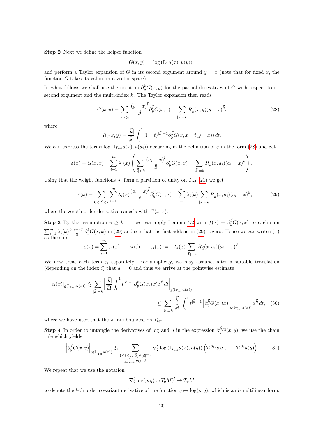<span id="page-20-6"></span>Step 2 Next we define the helper function

$$
G(x, y) := \log (\mathbb{I}_{\Delta} u(x), u(y)),
$$

and perform a Taylor expansion of G in its second argument around  $y = x$  (note that for fixed x, the function  $G$  takes its values in a vector space).

In what follows we shall use the notation  $\partial_y^{\vec{k}}G(x, y)$  for the partial derivatives of G with respect to its second argument and the multi-index  $\vec{k}$ . The Taylor expansion then reads

<span id="page-20-0"></span>
$$
G(x,y) = \sum_{|\vec{l}| < k} \frac{(y-x)^{\vec{l}}}{\vec{l}!} \partial_y^{\vec{l}} G(x,x) + \sum_{|\vec{k}| = k} R_{\vec{k}}(x,y)(y-x)^{\vec{k}},\tag{28}
$$

where

$$
R_{\vec{k}}(x,y) = \frac{|\vec{k}|}{\vec{k}!} \int_0^1 (1-t)^{|\vec{k}|-1} \partial_y^{\vec{k}} G(x, x+t(y-x)) dt.
$$

We can express the terms  $\log(\mathbb{I}_{T_{ref}}u(x), u(a_i))$  occurring in the definition of  $\varepsilon$  in the form [\(28\)](#page-20-0) and get

$$
\varepsilon(x) = G(x,x) - \sum_{i=1}^m \lambda_i(x) \left( \sum_{|\vec{l}| < k} \frac{(a_i - x)^{\vec{l}}}{\vec{l}!} \partial_y^{\vec{l}} G(x,x) + \sum_{|\vec{k}| = k} R_{\vec{k}}(x, a_i) (a_i - x)^{\vec{k}} \right).
$$

Using that the weight functions  $\lambda_i$  form a partition of unity on  $T_{\text{ref}}$  [\(21\)](#page-16-3) we get

<span id="page-20-1"></span>
$$
-\varepsilon(x) = \sum_{0 < |\vec{l}| < k} \sum_{i=1}^{m} \lambda_i(x) \frac{(a_i - x)^{\vec{l}}}{\vec{l}!} \partial_y^{\vec{l}} G(x, x) + \sum_{i=1}^{m} \lambda_i(x) \sum_{|\vec{k}| = k} R_{\vec{k}}(x, a_i) (a_i - x)^{\vec{k}},\tag{29}
$$

where the zeroth order derivative cancels with  $G(x, x)$ .

<span id="page-20-5"></span>**Step 3** By the assumption  $p \geq k-1$  we can apply Lemma [4.2](#page-16-4) with  $f(x) = \partial_y^{\vec{l}} G(x, x)$  to each sum  $\sum_{i=1}^m \lambda_i(x) \frac{(a_i-x)^{\bar{i}}}{\bar{i}^{\bar{i}}}$  $\frac{(-x)^l}{l!} \partial_y^{\vec{l}} G(x, x)$  in [\(29\)](#page-20-1) and see that the first addend in (29) is zero. Hence we can write  $\varepsilon(x)$ as the sum  $\varepsilon(x) = \sum_{m=1}^{m}$ 

$$
\varepsilon(x) = \sum_{i=1}^m \varepsilon_i(x) \quad \text{with} \quad \varepsilon_i(x) := -\lambda_i(x) \sum_{|\vec{k}|=k} R_{\vec{k}}(x, a_i) (a_i - x)^{\vec{k}}.
$$

We now treat each term  $\varepsilon_i$  separately. For simplicity, we may assume, after a suitable translation (depending on the index i) that  $a_i = 0$  and thus we arrive at the pointwise estimate

$$
\begin{split} \left|\varepsilon_{i}(x)\right|_{g\left(\mathbb{I}_{T_{\text{ref}}}u(x)\right)} &\lesssim \sum_{|\vec{k}|=k} \left|\frac{|\vec{k}|}{\vec{k}!} \int_{0}^{1} t^{|\vec{k}|-1} \partial_{y}^{\vec{k}} G(x,tx) x^{\vec{k}} \, dt\right|_{g\left(\mathbb{I}_{T_{\text{ref}}}u(x)\right)} \\ &\leq \sum_{|\vec{k}|=k} \frac{|\vec{k}|}{\vec{k}!} \int_{0}^{1} t^{|\vec{k}|-1} \left|\partial_{y}^{\vec{k}} G(x,tx)\right|_{g\left(\mathbb{I}_{T_{\text{ref}}}u(x)\right)} x^{\vec{k}} \, dt, \quad (30) \end{split}
$$

where we have used that the  $\lambda_i$  are bounded on  $T_{\text{ref}}$ .

<span id="page-20-4"></span>**Step 4** In order to untangle the derivatives of log and u in the expression  $\partial_y^{\vec{k}}G(x, y)$ , we use the chain rule which yields

<span id="page-20-2"></span>
$$
\left| \partial_y^{\vec{k}} G(x,y) \right|_{g(\mathbb{I}_{T_{\text{ref}}} u(x))} \lesssim \sum_{\substack{1 \leq l \leq k, \ \vec{\beta}_j \in [d]^{m_j} \\ \sum_{j=1}^l m_j = k}} \nabla_2^l \log \left( \mathbb{I}_{T_{\text{ref}}} u(x), u(y) \right) \left( \mathcal{D}^{\vec{\beta}_1} u(y), \dots, \mathcal{D}^{\vec{\beta}_l} u(y) \right). \tag{31}
$$

We repeat that we use the notation

<span id="page-20-3"></span>
$$
\nabla_2^l \log(p, q) : (T_q M)^l \to T_p M
$$

to denote the *l*-th order covariant derivative of the function  $q \mapsto \log(p, q)$ , which is an *l*-multilinear form.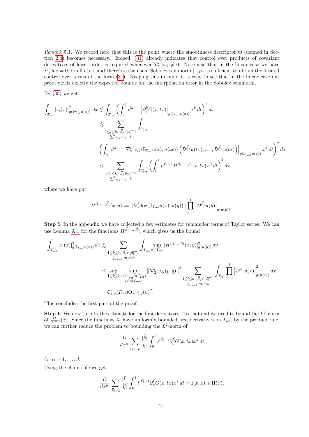<span id="page-21-0"></span>Remark 5.1. We record here that this is the point where the smoothness descriptor  $\Theta$  (defined in Section [2.4\)](#page-8-0) becomes necessary. Indeed, [\(31\)](#page-20-2) already indicates that control over products of covariant derivatives of lower order is required whenever  $\nabla_2^l \log \neq 0$ . Note also that in the linear case we have  $\nabla_2^l \log = 0$  for all  $l > 1$  and therefore the usual Sobolev seminorm  $|\cdot|_{H^k}$  is sufficient to obtain the desired control over terms of the form [\(31\)](#page-20-2). Keeping this in mind it is easy to see that in the linear case our proof yields exactly the expected bounds for the interpolation error in the Sobolev seminorm.

By  $(30)$  we get

$$
\begin{split} \int_{T_{\rm ref}} \left| \varepsilon_i(x) \right|^2_{g\left(\mathbb{I}_{T_{\rm ref}} u(x)\right)} \, dx &\lesssim \int_{T_{\rm ref}} \left( \int_0^1 t^{|\vec{k}|-1} \left| \partial_y^{\vec{k}} G(x,tx) \right|_{g\left(\mathbb{I}_{T_{\rm ref}} u(x)\right)} x^{\vec{k}} \, dt \right)^2 dx \\ &\lesssim \sum_{\substack{1 \leq l \leq k, \\ \sum_{j=1}^l m_j = k}} \int_{T_{\rm ref}} \\ \left( \int_0^1 t^{|\vec{k}|-1} \left| \nabla_2^l \log \left( \mathbb{I}_{T_{\rm ref}} u(x), u(tx) \right) \left( \mathcal{D}^{\vec{\beta}_1} u(tx), \dots, \mathcal{D}^{\vec{\beta}_k} u(tx) \right) \right|_{g\left(\mathbb{I}_{T_{\rm ref}} u(x)\right)} x^{\vec{k}} \, dt \right)^2 dx \\ &\lesssim \sum_{\substack{1 \leq l \leq k, \\ \sum_{j=1}^l m_j = k}} \int_{T_{\rm ref}} \left( \int_0^1 t^{|\vec{k}|-1} H^{\vec{\beta}_1, \dots, \vec{\beta}_l}(x,tx) x^{\vec{\beta}} \, dt \right)^2 dx, \end{split}
$$

where we have put

$$
H^{\vec{\beta}_1,\ldots,\vec{\beta}_l}(x,y) := \left\| \nabla_2^l \log \left( \mathbb{I}_{T_{\text{ref}}} u(x), u(y) \right) \right\| \prod_{j=1}^l \left| \mathcal{D}^{\vec{\beta}_j} u(y) \right|_{g(u(y))}.
$$

<span id="page-21-1"></span>Step 5 In the appendix we have collected a few estimates for remainder terms of Taylor series. We can use Lemma [A.1](#page-37-9) for the functions  $H^{\vec{\beta}_1,\ldots,\vec{\beta}_l}$ , which gives us the bound

$$
\begin{aligned} \int_{T_{\text{ref}}} |\varepsilon_i(x)|^2_{g(\mathbb{I}_{T_{\text{ref}}}u(x))} \, dx &\lesssim \sum_{\substack{1\leq l\leq k,\\ \sum_{j=1}^l m_j = k}} \int_{T_{\text{ref}}} \sup_{x\in T_{\text{ref}}} |H^{\vec{\beta}_1,...,\vec{\beta}_l}(x,y)|^2_{g(u(y))} \, dy \\ &\leq \sup_{\substack{1\leq l\leq k,\\ \sum_{j=1}^l m_j = k}} \sup_{\substack{W \in \mathbb{I}_{T_{\text{ref}}}u(T_{\text{ref}})\\ q\in u(T_{\text{ref}})}} \left\|\nabla^l_2 \log\left(p,q\right)\right\|^2 \sum_{\substack{1\leq l\leq k,\\ \sum_{j=1}^l m_j = k}} \int_{T_{\text{ref}}} \prod_{j=1}^l \left|\mathcal{D}^{\vec{\beta}_j}u(x)\right|^2_{g(u(x))} \, dx \\ &\leq \mathcal{C}^2_{1,u}(T_{\text{ref}}) \dot{\Theta}_{k,T_{\text{ref}}}(u)^2. \end{aligned}
$$

This concludes the first part of the proof.

**Step 6** We now turn to the estimate for the first derivatives. To that end we need to bound the  $L^2$ -norm of  $\frac{D}{dx^{\alpha}}\varepsilon(x)$ . Since the functions  $\lambda_i$  have uniformly bounded first derivatives on  $T_{\text{ref}}$ , by the product rule, we can further reduce the problem to bounding the  $L^2$ -norm of

$$
\frac{D}{dx^{\alpha}}\sum_{|\vec{k}|=k}\frac{|\vec{k}|}{\vec{k}!}\int_{0}^{1}t^{|\vec{k}|-1}\partial_{y}^{\vec{k}}G(x,tx)x^{\vec{k}}dt
$$

for  $\alpha = 1, \ldots, d$ .

Using the chain rule we get

$$
\frac{D}{dx^{\alpha}} \sum_{|\vec{k}|=k} \frac{|\vec{k}|}{\vec{k}!} \int_0^1 t^{|\vec{k}|-1} \partial^{\vec{k}}_y G(x,tx) x^{\vec{k}} dt = \mathcal{I}(x,x) + \mathcal{H}(x),
$$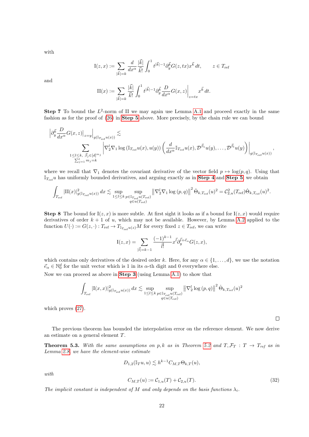with

$$
\mathcal{I}(z,x) := \sum_{|\vec{k}|=k} \frac{d}{dx^{\alpha}} \frac{|\vec{k}|}{\vec{k}!} \int_0^1 t^{|\vec{k}|-1} \partial_y^{\vec{k}} G(z,tx) x^{\vec{k}} dt, \qquad z \in T_{\text{ref}}
$$

and

$$
\mathrm{II}(x) := \sum_{|\vec{k}|=k} \frac{|\vec{k}|}{\vec{k}!} \int_0^1 t^{|\vec{k}|-1} \partial_y^{\vec{k}} \frac{D}{dx^{\alpha}} G(x, z) \bigg|_{z=tx} x^{\vec{k}} dt.
$$

**Step 7** To bound the  $L^2$ -norm of II we may again use Lemma [A.1](#page-37-9) and proceed exactly in the same fashion as for the proof of [\(26\)](#page-19-1) in [Step 5](#page-21-1) above. More precisely, by the chain rule we can bound

$$
\left| \partial_y^{\vec{k}} \frac{D}{dx^{\alpha}} G(x, z) \right|_{z=y} \right|_{g(\mathbb{I}_{T_{\text{ref}} u(x)})} \lesssim
$$
  

$$
\sum_{\substack{1 \leq l \leq k, \ \vec{\beta}_j \in [d]^{m_j} \\ \sum_{j=1}^l m_j = k}} \left| \nabla_2^l \nabla_1 \log \left( \mathbb{I}_{T_{\text{ref}} u}(x), u(y) \right) \left( \frac{d}{dx^{\alpha}} \mathbb{I}_{T_{\text{ref}} u}(x), \mathcal{D}^{\vec{\beta}_1} u(y), \dots, \mathcal{D}^{\vec{\beta}_l} u(y) \right) \right|_{g(\mathbb{I}_{T_{\text{ref}} u}(x))},
$$

where we recall that  $\nabla_1$  denotes the covariant derivative of the vector field  $p \mapsto \log(p, q)$ . Using that  $\mathbb{I}_{T_{ref}}$ u has uniformly bounded derivatives, and arguing exactly as in **[Step 4](#page-20-4)** and **[Step 5](#page-21-1)**, we obtain

$$
\int_{T_{\text{ref}}} |\text{II}(x)|^2_{g(\mathbb{I}_{T_{\text{ref}}}u(x))} dx \lesssim \sup_{1 \leq l \leq k} \sup_{\substack{p \in \mathbb{I}_{T_{\text{ref}}}u(T_{\text{ref}}) \\ q \in u(T_{\text{ref}})}} \left\| \nabla_2^l \nabla_1 \log \left(p, q\right) \right\|^2 \dot{\Theta}_{k, T_{\text{ref}}}(u)^2 = \mathcal{C}_{2, u}^2(T_{\text{ref}}) \dot{\Theta}_{k, T_{\text{ref}}}(u)^2.
$$

**Step 8** The bound for  $I(z, x)$  is more subtle. At first sight it looks as if a bound for  $I(z, x)$  would require derivatives of order  $k + 1$  of u, which may not be available. However, by Lemma [A.2](#page-38-0) applied to the function  $U(\cdot) := G(z, \cdot) : T_{\text{ref}} \to T_{T_{\text{ref}}(z)}M$  for every fixed  $z \in T_{\text{ref}}$ , we can write

$$
I(z,x) = \sum_{|\vec{l}| = k-1} \frac{(-1)^{k-1}}{\vec{l}!} x^{\vec{l}} \partial_y^{\vec{l} + \vec{e}_{\alpha}} G(z,x),
$$

which contains only derivatives of the desired order k. Here, for any  $\alpha \in \{1, \ldots, d\}$ , we use the notation  $\vec{e}_{\alpha} \in \mathbb{N}_0^d$  for the unit vector which is 1 in its  $\alpha$ -th digit and 0 everywhere else.

Now we can proceed as above in [Step 3](#page-20-5) (using Lemma [A.1\)](#page-37-9) to show that

$$
\int_{T_{\text{ref}}} \left| \mathcal{I}(x,x) \right|^2_{g\left(\mathbb{I}_{T_{\text{ref}}} u(x)\right)} dx \lesssim \sup_{\substack{1 \leq l \leq k}} \sup_{\substack{p \in \mathbb{I}_{T_{\text{ref}}} u(T_{\text{ref}}) \\ q \in u(T_{\text{ref}})}} \left\| \nabla_2^l \log\left(p,q\right) \right\|^2 \dot{\Theta}_{k,T_{\text{ref}}}(u)^2
$$

which proves [\(27\)](#page-19-2).

The previous theorem has bounded the interpolation error on the reference element. We now derive an estimate on a general element T.

<span id="page-22-0"></span>**Theorem 5.3.** With the same assumptions on p, k as in Theorem [5.2](#page-19-3) and  $T, \mathcal{F}_T : T \to T_{ref}$  as in Lemma [2.8,](#page-11-2) we have the element-wise estimate

$$
D_{1,2}(\mathbb{I}_T u, u) \lesssim h^{k-1} C_{M,T} \Theta_{k,T}(u),
$$

with

<span id="page-22-1"></span>
$$
C_{M,T}(u) := \mathcal{C}_{1,u}(T) + \mathcal{C}_{2,u}(T). \tag{32}
$$

 $\Box$ 

The implicit constant is independent of M and only depends on the basis functions  $\lambda_i$ .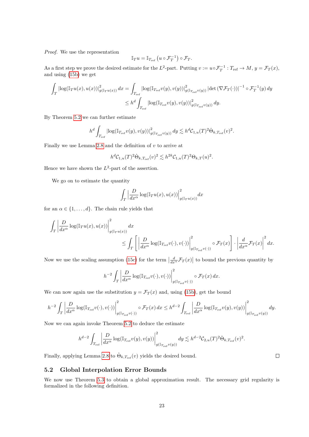Proof. We use the representation

$$
\mathbb{I}_T u = \mathbb{I}_{T_{\text{ref}}}\left(u \circ \mathcal{F}_T^{-1}\right) \circ \mathcal{F}_T.
$$

As a first step we prove the desired estimate for the  $L^2$ -part. Putting  $v := u \circ \mathcal{F}_T^{-1} : T_{\text{ref}} \to M$ ,  $y = \mathcal{F}_T(x)$ , and using [\(15b\)](#page-10-3) we get

$$
\int_{T} |\log(\mathbb{I}_{T}u(x), u(x))|_{g(\mathbb{I}_{T}u(x))}^{2} dx = \int_{T_{\text{ref}}} |\log(\mathbb{I}_{T_{\text{ref}}}v(y), v(y))|_{g(\mathbb{I}_{T_{\text{ref}}}v(y))}^{2} |\det(\nabla \mathcal{F}_{T}(\cdot))|^{-1} \circ \mathcal{F}_{T}^{-1}(y) dy
$$
\n
$$
\leq h^{d} \int_{T_{\text{ref}}} |\log(\mathbb{I}_{T_{\text{ref}}}v(y), v(y))|_{g(\mathbb{I}_{T_{\text{ref}}}v(y))}^{2} dy.
$$

By Theorem [5.2](#page-19-3) we can further estimate

$$
h^d \int_{T_{\text{ref}}} \left| \log(\mathbb{I}_{T_{\text{ref}}} v(y), v(y)) \right|^2_{g(\mathbb{I}_{T_{\text{ref}}} v(y))} dy \lesssim h^d \mathcal{C}_{1,u}(T)^2 \dot{\Theta}_{k,T_{\text{ref}}}(v)^2.
$$

Finally we use Lemma [2.8](#page-11-2) and the definition of  $v$  to arrive at

$$
h^{d}C_{1,u}(T)^{2}\dot{\Theta}_{k,T_{\text{ref}}}(v)^{2} \lesssim h^{2k}C_{1,u}(T)^{2}\Theta_{k,T}(u)^{2}.
$$

Hence we have shown the  $L^2$ -part of the assertion.

We go on to estimate the quantity

$$
\int_T \Big|\frac{D}{dx^\alpha}\log(\mathbb{I}_T u(x),u(x))\Big|^2_{g(\mathbb{I}_T u(x))}dx
$$

for an  $\alpha \in \{1, \ldots, d\}$ . The chain rule yields that

$$
\int_{T} \left| \frac{D}{dx^{\alpha}} \log(\mathbb{I}_{T} u(x), u(x)) \right|_{g(\mathbb{I}_{T} u(x))}^{2} dx
$$
\n
$$
\leq \int_{T} \left[ \left| \frac{D}{dx^{\alpha}} \log(\mathbb{I}_{T_{\text{ref}}} v(\cdot), v(\cdot)) \right|_{g(\mathbb{I}_{T_{\text{ref}}} v(\cdot))}^{2} \circ \mathcal{F}_{T}(x) \right] \cdot \left| \frac{d}{dx^{\alpha}} \mathcal{F}_{T}(x) \right|^{2} dx.
$$

Now we use the scaling assumption [\(15c\)](#page-10-4) for the term  $\left|\frac{d}{dx^{\alpha}}\mathcal{F}_T(x)\right|$  to bound the previous quantity by

$$
h^{-2} \int_T \left| \frac{D}{dx^{\alpha}} \log(\mathbb{I}_{T_{\text{ref}}} v(\cdot), v(\cdot)) \right|_{g(\mathbb{I}_{T_{\text{ref}}} v(\cdot))}^2 \circ \mathcal{F}_T(x) dx.
$$

We can now again use the substitution  $y = \mathcal{F}_T(x)$  and, using [\(15b\)](#page-10-3), get the bound

$$
h^{-2}\int_T\left|\frac{D}{dx^\alpha}\log(\mathbb{I}_{T_{\rm ref}}v(\cdot),v(\cdot))\right|^2_{g(\mathbb{I}_{T_{\rm ref}}v(\cdot))}\circ\mathcal{F}_T(x)\,dx\leq h^{d-2}\int_{T_{\rm ref}}\left|\frac{D}{dx^\alpha}\log(\mathbb{I}_{T_{\rm ref}}v(y),v(y))\right|^2_{g(\mathbb{I}_{T_{\rm ref}}v(y))}dy.
$$

Now we can again invoke Theorem [5.2](#page-19-3) to deduce the estimate

$$
h^{d-2} \int_{T_{\text{ref}}} \bigg| \frac{D}{dx^{\alpha}} \log(\mathbb{I}_{T_{\text{ref}}} v(y), v(y)) \bigg|^2_{g(\mathbb{I}_{T_{\text{ref}}} v(y))} dy \lesssim h^{d-2} \mathcal{C}_{2,u}(T)^2 \dot{\Theta}_{k,T_{\text{ref}}}(v)^2.
$$

Finally, applying Lemma [2.8](#page-11-2) to  $\dot{\Theta}_{k,T_{\text{ref}}}(v)$  yields the desired bound.

### <span id="page-23-0"></span>5.2 Global Interpolation Error Bounds

We now use Theorem [5.3](#page-22-0) to obtain a global approximation result. The necessary grid regularity is formalized in the following definition.

 $\Box$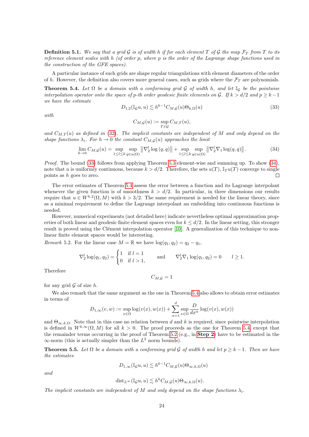**Definition 5.1.** We say that a grid G is of width h if for each element T of G the map  $\mathcal{F}_T$  from T to its reference element scales with  $h$  (of order p, where p is the order of the Lagrange shape functions used in the construction of the GFE spaces).

A particular instance of such grids are shape regular triangulations with element diameters of the order of h. However, the definition also covers more general cases, such as grids where the  $\mathcal{F}_T$  are polynomials.

<span id="page-24-0"></span>**Theorem 5.4.** Let  $\Omega$  be a domain with a conforming grid G of width h, and let  $\mathbb{I}_G$  be the pointwise interpolation operator onto the space of p-th order geodesic finite elements on G. If  $k > d/2$  and  $p \geq k-1$ we have the estimate

<span id="page-24-1"></span>
$$
D_{1,2}(\mathbb{I}_{\mathcal{G}}u, u) \lesssim h^{k-1} C_{M, \mathcal{G}}(u) \Theta_{k, \Omega}(u) \tag{33}
$$

with

$$
C_{M,\mathcal{G}}(u):=\sup_{T\in\mathcal{G}}C_{M,T}(u),
$$

and  $C_{M,T}(u)$  as defined in [\(32\)](#page-22-1). The implicit constants are independent of M and only depend on the shape functions  $\lambda_i$ . For  $h \to 0$  the constant  $C_{M,G}(u)$  approaches the limit

<span id="page-24-2"></span>
$$
\lim_{h \to 0} C_{M,\mathcal{G}}(u) = \sup_{1 \le l \le k} \sup_{q \in u(\Omega)} \left\| \nabla_2^l \log(q, q) \right\| + \sup_{1 \le l \le k} \sup_{q \in u(\Omega)} \left\| \nabla_2^l \nabla_1 \log(q, q) \right\|.
$$
 (34)

*Proof.* The bound [\(33\)](#page-24-1) follows from applying Theorem [5.3](#page-22-0) element-wise and summing up. To show  $(34)$ , note that u is uniformly continuous, because  $k > d/2$ . Therefore, the sets  $u(T)$ ,  $\mathbb{I}_T u(T)$  converge to single points as h goes to zero.  $\Box$ 

The error estimates of Theorem [5.4](#page-24-0) assess the error between a function and its Lagrange interpolant whenever the given function is of smoothness  $k > d/2$ . In particular, in three dimensions our results require that  $u \in W^{k,2}(\Omega,M)$  with  $k > 3/2$ . The same requirement is needed for the linear theory, since as a minimal requirement to define the Lagrange interpolant an embedding into continuous functions is needed.

However, numerical experiments (not detailed here) indicate nevertheless optimal approximation properties of both linear and geodesic finite element spaces even for  $k \leq d/2$ . In the linear setting, this stronger result is proved using the Clément interpolation operator [\[10\]](#page-35-14). A generalization of this technique to nonlinear finite element spaces would be interesting.

Remark 5.2. For the linear case  $M = \mathbb{R}$  we have  $\log(q_1, q_2) = q_2 - q_1$ ,

$$
\nabla_2^l \log(q_1, q_2) = \begin{cases} 1 & \text{if } l = 1 \\ 0 & \text{if } l > 1, \end{cases} \qquad \text{and} \qquad \nabla_2^l \nabla_1 \log(q_1, q_2) = 0 \qquad l \ge 1.
$$

Therefore

$$
C_{M,\mathcal{G}}=1
$$

for any grid  $\mathcal G$  of size  $h$ .

We also remark that the same argument as the one in Theorem [5.4](#page-24-0) also allows to obtain error estimates in terms of

$$
D_{1,\infty}(v,w) := \sup_{x \in \Omega} \log(v(x), w(x)) + \sum_{\alpha=1}^d \sup_{x \in \Omega} \frac{D}{dx^{\alpha}} \log(v(x), w(x))
$$

and  $\Theta_{\infty,k,\Omega}$ . Note that in this case no relation between d and k is required, since pointwise interpolation is defined in  $W^{k,\infty}(\Omega, M)$  for all  $k > 0$ . The proof proceeds as the one for Theorem [5.4,](#page-24-0) except that the remainder terms occurring in the proof of Theorem [5.2](#page-19-3) (e.g., in [Step 2](#page-20-6)) have to be estimated in the  $\infty$ -norm (this is actually simpler than the  $L^2$  norm bounds).

<span id="page-24-3"></span>**Theorem 5.5.** Let  $\Omega$  be a domain with a conforming grid G of width h and let  $p \geq k - 1$ . Then we have the estimates

$$
D_{1,\infty}(\mathbb{I}_{\mathcal{G}}u,u)\lesssim h^{k-1}C_{M,\mathcal{G}}(u)\Theta_{\infty,k,\Omega}(u)
$$

and

$$
\mathrm{dist}_{L^\infty}(\mathbb{I}_{\mathcal{G}}u, u) \lesssim h^k C_{M, \mathcal{G}}(u) \Theta_{\infty, k, \Omega}(u).
$$

The implicit constants are independent of M and only depend on the shape functions  $\lambda_i$ .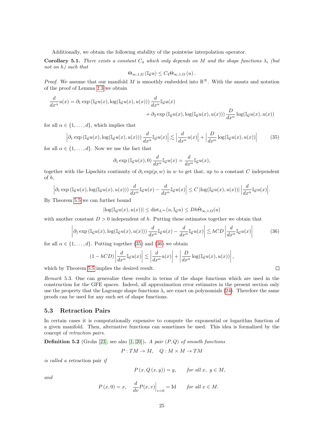Additionally, we obtain the following stability of the pointwise interpolation operator.

<span id="page-25-2"></span>**Corollary 5.1.** There exists a constant  $C_4$  which only depends on M and the shape functions  $\lambda_i$  (but not on h) such that

$$
\Theta_{\infty,1,\Omega}\left(\mathbb{I}_{\mathcal{G}}u\right)\leq C_4\Theta_{\infty,1,\Omega}\left(u\right).
$$

*Proof.* We assume that our manifold M is smoothly embedded into  $\mathbb{R}^N$ . With the ansatz and notation of the proof of Lemma [2.3](#page-6-1) we obtain

$$
\frac{d}{dx^{\alpha}}u(x) = \partial_1 \exp\left(\mathbb{I}_{\mathcal{G}}u(x), \log(\mathbb{I}_{\mathcal{G}}u(x), u(x))\right) \frac{d}{dx^{\alpha}} \mathbb{I}_{\mathcal{G}}u(x) \n+ \partial_2 \exp\left(\mathbb{I}_{\mathcal{G}}u(x), \log(\mathbb{I}_{\mathcal{G}}u(x), u(x))\right) \frac{D}{dx^{\alpha}} \log(\mathbb{I}_{\mathcal{G}}u(x), u(x))
$$

for all  $\alpha \in \{1, \ldots, d\}$ , which implies that

<span id="page-25-0"></span>
$$
\left| \partial_1 \exp \left( \mathbb{I}_{\mathcal{G}} u(x), \log(\mathbb{I}_{\mathcal{G}} u(x), u(x)) \right) \frac{d}{dx^{\alpha}} \mathbb{I}_{\mathcal{G}} u(x) \right| \lesssim \left| \frac{d}{dx^{\alpha}} u(x) \right| + \left| \frac{D}{dx^{\alpha}} \log(\mathbb{I}_{\mathcal{G}} u(x), u(x)) \right| \tag{35}
$$

for all  $\alpha \in \{1, \ldots, d\}$ . Now we use the fact that

$$
\partial_1 \exp\left(\mathbb{I}_{\mathcal{G}}u(x),0\right) \frac{d}{dx^{\alpha}} \mathbb{I}_{\mathcal{G}}u(x) = \frac{d}{dx^{\alpha}} \mathbb{I}_{\mathcal{G}}u(x),
$$

together with the Lipschitz continuity of  $\partial_1 \exp(p, w)$  in w to get that, up to a constant C independent of h,

$$
\left|\partial_1 \exp\left(\mathbb{I}_{\mathcal{G}}u(x), \log(\mathbb{I}_{\mathcal{G}}u(x), u(x))\right) \frac{d}{dx^{\alpha}} \mathbb{I}_{\mathcal{G}}u(x) - \frac{d}{dx^{\alpha}} \mathbb{I}_{\mathcal{G}}u(x)\right| \leq C \left|\log(\mathbb{I}_{\mathcal{G}}u(x), u(x))\right| \left|\frac{d}{dx^{\alpha}} \mathbb{I}_{\mathcal{G}}u(x)\right|.
$$

By Theorem [5.5](#page-24-3) we can further bound

$$
|\log(\mathbb{I}_{\mathcal{G}}u(x),u(x))| \leq \text{dist}_{L^{\infty}}(u,\mathbb{I}_{\mathcal{G}}u) \leq Dh\dot{\Theta}_{\infty,1,\Omega}(u)
$$

with another constant  $D > 0$  independent of h. Putting these estimates together we obtain that

<span id="page-25-1"></span>
$$
\left| \partial_1 \exp \left( \mathbb{I}_{\mathcal{G}} u(x), \log(\mathbb{I}_{\mathcal{G}} u(x), u(x)) \right) \frac{d}{dx^{\alpha}} \mathbb{I}_{\mathcal{G}} u(x) - \frac{d}{dx^{\alpha}} \mathbb{I}_{\mathcal{G}} u(x) \right| \lesssim hCD \left| \frac{d}{dx^{\alpha}} \mathbb{I}_{\mathcal{G}} u(x) \right| \tag{36}
$$

 $\Box$ 

for all  $\alpha \in \{1, \ldots, d\}$ . Putting together [\(35\)](#page-25-0) and [\(36\)](#page-25-1) we obtain

$$
(1 - hCD) \left| \frac{d}{dx^{\alpha}} \mathbb{I}_{\mathcal{G}} u(x) \right| \lesssim \left| \frac{d}{dx^{\alpha}} u(x) \right| + \left| \frac{D}{dx^{\alpha}} \log(\mathbb{I}_{\mathcal{G}} u(x), u(x)) \right|,
$$

which by Theorem [5.5](#page-24-3) implies the desired result.

Remark 5.3. One can generalize these results in terms of the shape functions which are used in the construction for the GFE spaces. Indeed, all approximation error estimates in the present section only use the property that the Lagrange shape functions  $\lambda_i$  are exact on polynomials [\(24\)](#page-16-0). Therefore the same proofs can be used for any such set of shape functions.

#### 5.3 Retraction Pairs

In certain cases it is computationally expensive to compute the exponential or logarithm function of a given manifold. Then, alternative functions can sometimes be used. This idea is formalized by the concept of retraction pairs.

**Definition 5.2** (Grohs [\[23\]](#page-36-17), see also  $[1, 20]$  $[1, 20]$ ). A pair  $(P, Q)$  of smooth functions

$$
P: TM \to M
$$
,  $Q: M \times M \to TM$ 

is called a retraction pair if

$$
P(x, Q(x, y)) = y, \qquad \text{for all } x, y \in M,
$$

and

$$
P(x, 0) = x
$$
,  $\frac{d}{dv}P(x, v)\Big|_{v=0} = \text{Id}$  for all  $x \in M$ .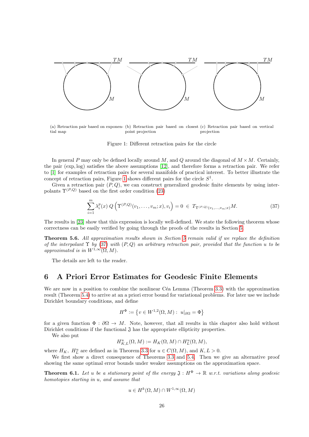

(a) Retraction pair based on exponen-(b) Retraction pair based on closest (c) Retraction pair based on vertical tial map point projection projection

<span id="page-26-2"></span>Figure 1: Different retraction pairs for the circle

In general P may only be defined locally around M, and Q around the diagonal of  $M \times M$ . Certainly, the pair (exp, log) satisfies the above assumptions [\[12\]](#page-35-10), and therefore forms a retraction pair. We refer to [\[1\]](#page-35-15) for examples of retraction pairs for several manifolds of practical interest. To better illustrate the concept of retraction pairs, Figure [1](#page-26-2) shows different pairs for the circle  $S^1$ .

Given a retraction pair  $(P, Q)$ , we can construct generalized geodesic finite elements by using interpolants  $\Upsilon^{(P,Q)}$  based on the first order condition [\(23\)](#page-16-2)

<span id="page-26-3"></span>
$$
\sum_{i=1}^{m} \lambda_i^p(x) Q\left(\Upsilon^{(P,Q)}(v_1, \dots, v_m; x), v_i\right) = 0 \in T_{\Upsilon^{(P,Q)}(v_1, \dots, v_m; x)}M. \tag{37}
$$

The results in [\[23\]](#page-36-17) show that this expression is locally well-defined. We state the following theorem whose correctness can be easily verified by going through the proofs of the results in Section [5.](#page-18-0)

Theorem [5](#page-18-0).6. All approximation results shown in Section 5 remain valid if we replace the definition of the interpolant  $\Upsilon$  by [\(37\)](#page-26-3) with  $(P,Q)$  an arbitrary retraction pair, provided that the function u to be approximated is in  $W^{1,\infty}(\Omega,M)$ .

The details are left to the reader.

## <span id="page-26-1"></span>6 A Priori Error Estimates for Geodesic Finite Elements

We are now in a position to combine the nonlinear Céa Lemma (Theorem [3.3\)](#page-14-0) with the approximation result (Theorem [5.4\)](#page-24-0) to arrive at an a priori error bound for variational problems. For later use we include Dirichlet boundary conditions, and define

$$
H^{\Phi} := \left\{ v \in W^{1,2}(\Omega, M) : u|_{\partial \Omega} = \Phi \right\}
$$

for a given function  $\Phi : \partial\Omega \to M$ . Note, however, that all results in this chapter also hold without Dirichlet conditions if the functional  $\mathfrak J$  has the appropriate ellipticity properties.

We also put

$$
H_{K,L}^u(\Omega,M) := H_K(\Omega,M) \cap H_L^u(\Omega,M),
$$

where  $H_K$ ,  $H_L^u$  are defined as in Theorem [3.3](#page-14-0) for  $u \in C(\Omega, M)$ , and  $K, L > 0$ .

We first show a direct consequence of Theorems [3.3](#page-14-0) and [5.4.](#page-24-0) Then we give an alternative proof showing the same optimal error bounds under weaker assumptions on the approximation space.

<span id="page-26-0"></span>**Theorem 6.1.** Let u be a stationary point of the energy  $\mathfrak{J}: H^{\Phi} \to \mathbb{R}$  w.r.t. variations along geodesic homotopies starting in u, and assume that

$$
u \in H^k(\Omega, M) \cap W^{1,\infty}(\Omega, M)
$$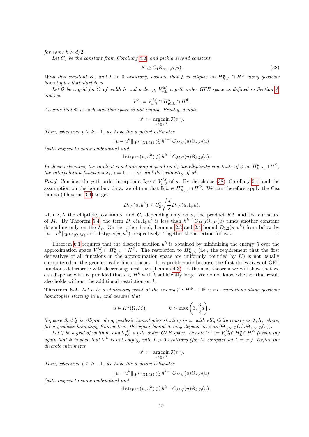for some  $k > d/2$ .

Let  $C_4$  be the constant from Corollary [5.1,](#page-25-2) and pick a second constant

<span id="page-27-1"></span>
$$
K \ge C_4 \Theta_{\infty,1,\Omega}(u). \tag{38}
$$

With this constant K, and  $L > 0$  arbitrary, assume that  $\mathfrak{J}$  is elliptic on  $H_{K,L}^u \cap H^{\Phi}$  along geodesic homotopies that start in u.

Let G be a grid for  $\Omega$  of width h and order p,  $V_{p,G}^M$  a p-th order GFE space as defined in Section [4,](#page-15-0) and set

$$
V^h := V^M_{p,\mathcal{G}} \cap H^u_{K,L} \cap H^{\Phi}.
$$

Assume that  $\Phi$  is such that this space is not empty. Finally, denote

$$
u^h := \operatorname*{arg\,min}_{v^h \in V^h} \mathfrak{J}(v^h).
$$

Then, whenever  $p \geq k-1$ , we have the a priori estimates

$$
||u - uh||W1,2(\Omega, M) \lesssim hk-1CM,\mathcal{G}(u)\Thetak,\Omega(u)
$$

(with respect to some embedding) and

$$
dist_{W^{1,2}}(u, u^h) \lesssim h^{k-1} C_{M, \mathcal{G}}(u) \Theta_{k, \Omega}(u).
$$

In these estimates, the implicit constants only depend on d, the ellipticity constants of  $\mathfrak{J}$  on  $H_{K,L}^u \cap H^{\Phi}$ , the interpolation functions  $\lambda_i$ ,  $i = 1, \ldots, m$ , and the geometry of M.

*Proof.* Consider the p-th order interpolant  $\mathbb{I}_{\mathcal{G}} u \in V_{p,\mathcal{G}}^M$  of u. By the choice [\(38\)](#page-27-1), Corollary [5.1,](#page-25-2) and the assumption on the boundary data, we obtain that  $\mathbb{I}_{\mathcal{G}} u \in H_{K,L}^u \cap H^{\Phi}$ . We can therefore apply the Céa lemma (Theorem [3.3\)](#page-14-0) to get

$$
D_{1,2}(u, u^h) \le C_2^2 \sqrt{\frac{\Lambda}{\lambda}} D_{1,2}(u, \mathbb{I}_{\mathcal{G}} u),
$$

with  $\lambda, \Lambda$  the ellipticity constants, and  $C_2$  depending only on d, the product KL and the curvature of M. By Theorem [5.4,](#page-24-0) the term  $D_{1,2}(u,\mathbb{I}_{\mathcal{G}}u)$  is less than  $h^{k-1}C_{M,\mathcal{G}}\Theta_{k,\Omega}(u)$  times another constant depending only on the  $\lambda_i$ . On the other hand, Lemmas [2.3](#page-6-1) and [2.4](#page-7-4) bound  $D_{1,2}(u, u^h)$  from below by  $||u - u^h||_{W^{1,2}(\Omega,M)}$  and dist<sub>W<sup>1,2</sup></sub>(u, u<sup>h</sup>), respectively. Together the assertion follows.  $\Box$ 

Theorem [6.1](#page-26-0) requires that the discrete solution  $u^h$  is obtained by minimizing the energy  $\mathfrak J$  over the approximation space  $V_{p,Q}^M \cap H_{K,L}^u \cap H^{\Phi}$ . The restriction to  $H_{K,L}^u$  (i.e., the requirement that the first derivatives of all functions in the approximation space are uniformly bounded by  $K$ ) is not usually encountered in the geometrically linear theory. It is problematic because the first derivatives of GFE functions deteriorate with decreasing mesh size (Lemma [4.3\)](#page-17-0). In the next theorem we will show that we can dispense with K provided that  $u \in H^k$  with k sufficiently large. We do not know whether that result also holds without the additional restriction on  $k$ .

<span id="page-27-0"></span>**Theorem 6.2.** Let u be a stationary point of the energy  $\mathfrak{J}: H^{\Phi} \to \mathbb{R}$  w.r.t. variations along geodesic homotopies starting in u, and assume that

$$
u \in H^k(\Omega, M),
$$
  $k > \max\left(3, \frac{3}{2}d\right).$ 

Suppose that  $\mathfrak J$  is elliptic along geodesic homotopies starting in u, with ellipticity constants  $\lambda, \Lambda$ , where, for a geodesic homotopy from u to v, the upper bound  $\Lambda$  may depend on  $\max(\Theta_{1,\infty,\Omega}(u),\Theta_{1,\infty,\Omega}(v)).$ 

Let G be a grid of width h, and  $V_{p,G}^M$  a p-th order GFE space. Denote  $V^h := V_{p,G}^M \cap H_L^u \cap H^{\Phi}$  (assuming again that  $\Phi$  is such that  $V^h$  is not empty) with  $L > 0$  arbitrary (for M compact set  $L = \infty$ ). Define the discrete minimizer

$$
u^h := \argmin_{v^h \in V^h} \mathfrak{J}(v^h).
$$

Then, whenever  $p \geq k-1$ , we have the a priori estimates

$$
||u - uh||_{W^{1,2}(\Omega,M)} \lesssim h^{k-1}C_{M,\mathcal{G}}(u)\Theta_{k,\Omega}(u)
$$

(with respect to some embedding) and

$$
dist_{W^{1,2}}(u, u^h) \lesssim h^{k-1} C_{M, \mathcal{G}}(u) \Theta_{k, \Omega}(u).
$$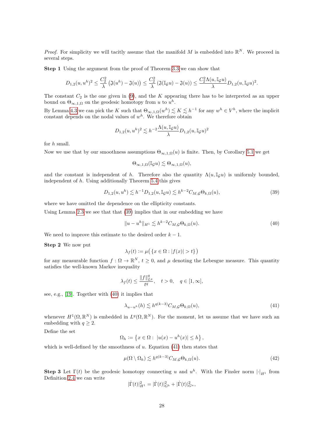*Proof.* For simplicity we will tacitly assume that the manifold M is embedded into  $\mathbb{R}^N$ . We proceed in several steps.

Step 1 Using the argument from the proof of Theorem [3.3](#page-14-0) we can show that

$$
D_{1,2}(u,u^h)^2 \leq \frac{C_2^2}{\lambda} \left( \mathfrak{J}(u^h) - \mathfrak{J}(u) \right) \leq \frac{C_2^2}{\lambda} \left( \mathfrak{J}(\mathbb{I}_{\mathcal{G}} u) - \mathfrak{J}(u) \right) \leq \frac{C_2^2 \Lambda(u,\mathbb{I}_{\mathcal{G}} u)}{\lambda} D_{1,2}(u,\mathbb{I}_{\mathcal{G}} u)^2.
$$

The constant  $C_2$  is the one given in [\(9\)](#page-7-0), and the K appearing there has to be interpreted as an upper bound on  $\Theta_{\infty,1,\Omega}$  on the geodesic homotopy from u to  $u^h$ .

By Lemma [4.3](#page-17-0) we can pick the K such that  $\Theta_{\infty,1,\Omega}(w^h) \lesssim K \lesssim h^{-1}$  for any  $w^h \in V^h$ , where the implicit constant depends on the nodal values of  $w<sup>h</sup>$ . We therefore obtain

$$
D_{1,2}(u,u^h)^2 \lesssim h^{-2} \frac{\Lambda(u,\mathbb{I}\mathcal{G} u)}{\lambda} D_{1,2}(u,\mathbb{I}\mathcal{G} u)^2
$$

for h small.

Now we use that by our smoothness assumptions  $\Theta_{\infty,1,\Omega}(u)$  is finite. Then, by Corollary [5.1](#page-25-2) we get

$$
\Theta_{\infty,1,\Omega}(\mathbb{I}_{\mathcal{G}}u)\lesssim \Theta_{\infty,1,\Omega}(u),
$$

and the constant is independent of h. Therefore also the quantity  $\Lambda(u,\mathbb{I}_{\mathcal{C}}u)$  is uniformly bounded, independent of h. Using additionally Theorem [5.4](#page-24-0) this gives

<span id="page-28-0"></span>
$$
D_{1,2}(u, u^{h}) \lesssim h^{-1} D_{1,2}(u, \mathbb{I}_{\mathcal{G}} u) \lesssim h^{k-2} C_{M, \mathcal{G}} \Theta_{k, \Omega}(u),
$$
\n(39)

where we have omitted the dependence on the ellipticity constants.

Using Lemma [2.3](#page-6-1) we see that that [\(39\)](#page-28-0) implies that in our embedding we have

<span id="page-28-1"></span>
$$
||u - uh||H1 \lesssim hk-2CM,\mathcal{G}\Thetak,\Omega(u).
$$
\n(40)

We need to improve this estimate to the desired order  $k - 1$ .

Step 2 We now put

$$
\lambda_f(t) := \mu\big(\left\{x \in \Omega : |f(x)| > t\right\}\big)
$$

for any measurable function  $f: \Omega \to \mathbb{R}^N$ ,  $t \geq 0$ , and  $\mu$  denoting the Lebesgue measure. This quantity satisfies the well-known Markov inequality

$$
\lambda_f(t)\leq \frac{\|f\|_{L^q}^q}{t^q},\quad t>0,\quad q\in [1,\infty],
$$

see, e.g., [\[19\]](#page-35-17). Together with [\(40\)](#page-28-1) it implies that

<span id="page-28-2"></span>
$$
\lambda_{u-u^h}(h) \lesssim h^{q(k-3)} C_{M,\mathcal{G}} \Theta_{k,\Omega}(u),\tag{41}
$$

whenever  $H^1(\Omega,\mathbb{R}^N)$  is embedded in  $L^q(\Omega,\mathbb{R}^N)$ . For the moment, let us assume that we have such an embedding with  $q \geq 2$ .

Define the set

$$
\Omega_h := \left\{ x \in \Omega : \ |u(x) - u^h(x)| \le h \right\},\
$$

which is well-defined by the smoothness of  $u$ . Equation [\(41\)](#page-28-2) then states that

<span id="page-28-3"></span>
$$
\mu(\Omega \setminus \Omega_h) \lesssim h^{q(k-3)} C_{M,\mathcal{G}} \Theta_{k,\Omega}(u). \tag{42}
$$

**Step 3** Let  $\Gamma(t)$  be the geodesic homotopy connecting u and  $u^h$ . With the Finsler norm  $|\cdot|_{H^1}$  from Definition [2.4](#page-4-1) we can write

$$
|\dot{\Gamma}(t)|^2_{H^1}=|\dot{\Gamma}(t)|^2_{G^b}+|\dot{\Gamma}(t)|^2_{G^u},
$$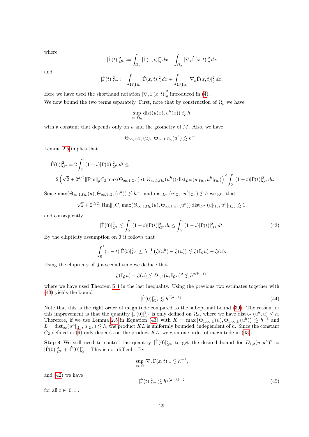where

$$
|\dot\Gamma(t)|^2_{G^b}:=\int_{\Omega_h}|\dot\Gamma(x,t)|^2_g\,dx+\int_{\Omega_h}|\nabla_x\dot\Gamma(x,t)|^2_g\,dx
$$

and

$$
|\dot\Gamma(t)|^2_{G^u}:=\int_{\Omega\backslash\Omega_h}|\dot\Gamma(x,t)|^2_g\,dx+\int_{\Omega\backslash\Omega_h}|\nabla_x\dot\Gamma(x,t)|^2_g\,dx.
$$

Here we have used the shorthand notation  $\left|\nabla_x \dot{\Gamma}(x,t)\right|^2_{q}$  $\frac{1}{g}$  introduced in [\(4\)](#page-4-2). We now bound the two terms separately. First, note that by construction of  $\Omega_h$  we have

$$
\sup_{x \in \Omega_h} \text{dist}(u(x), u^h(x)) \lesssim h,
$$

with a constant that depends only on  $u$  and the geometry of  $M$ . Also, we have

$$
\Theta_{\infty,1,\Omega_h}(u),\ \Theta_{\infty,1,\Omega_h}(u^h)\lesssim h^{-1}.
$$

Lemma [2.5](#page-7-3) implies that

$$
\begin{aligned} |\dot{\Gamma}(0)|_{G^b}^2 &= 2 \int_0^1 (1-t) |\dot{\Gamma}(0)|_{G^b}^2 \, dt \leq \\ &2 \left( \sqrt{2} + 2^{d/2} \|\text{Rm}\|_g C_3 \max(\Theta_{\infty,1,\Omega_h}(u), \Theta_{\infty,1,\Omega_h}(u^h)) \, \text{dist}_{L^\infty}(u|_{\Omega_h}, u^h|_{\Omega_h}) \right)^2 \int_0^1 (1-t) |\dot{\Gamma}(t)|_{G^b}^2 \, dt. \end{aligned}
$$

Since  $\max(\Theta_{\infty,1,\Omega_h}(u),\Theta_{\infty,1,\Omega_h}(u^h)) \lesssim h^{-1}$  and  $\text{dist}_{L^\infty}(u|_{\Omega_h},u^h|_{\Omega_h}) \lesssim h$  we get that

$$
\sqrt{2} + 2^{d/2} \|\text{Rm}\|_{g} C_{3} \max(\Theta_{\infty,1,\Omega_{h}}(u), \Theta_{\infty,1,\Omega_{h}}(u^{h})) \text{dist}_{L^{\infty}}(u|_{\Omega_{h}}, u^{h}|_{\Omega_{h}}) \lesssim 1,
$$

and consequently

<span id="page-29-0"></span>
$$
|\dot{\Gamma}(0)|_{G^b}^2 \lesssim \int_0^1 (1-t)|\dot{\Gamma}(t)|_{G^b}^2 dt \le \int_0^1 (1-t)|\dot{\Gamma}(t)|_{H^1}^2 dt. \tag{43}
$$

By the ellipticity assumption on  $\mathfrak{J}$  it follows that

$$
\int_0^1 (1-t)|\dot{\Gamma}(t)|_{H^1}^2 \leq \lambda^{-1} \left(\mathfrak{J}(u^h) - \mathfrak{J}(u)\right) \lesssim \mathfrak{J}(\mathbb{I}_{\mathcal{G}} u) - \mathfrak{J}(u).
$$

Using the ellipticity of  $\mathfrak J$  a second time we deduce that

$$
\mathfrak{J}(\mathbb{I}_{\mathcal{G}}u)-\mathfrak{J}(u)\lesssim D_{1,2}(u,\mathbb{I}_{\mathcal{G}}u)^2\lesssim h^{2(k-1)},
$$

where we have used Theorem [5.4](#page-24-0) in the last inequality. Using the previous two estimates together with [\(43\)](#page-29-0) yields the bound

<span id="page-29-1"></span>
$$
|\dot{\Gamma}(0)|_{G^b}^2 \lesssim h^{2(k-1)}.
$$
\n(44)

Note that this is the right order of magnitude compared to the suboptimal bound [\(39\)](#page-28-0). The reason for this improvement is that the quantity  $|\Gamma(0)|^2_{G^b}$  is only defined on  $\Omega_h$ , where we have  $dist_{L^\infty}(u^h, u) \leq h$ . Therefore, if we use Lemma [2.5](#page-7-3) in Equation [\(43\)](#page-29-0) with  $K = \max(\Theta_{1,\infty,\Omega}(u), \Theta_{1,\infty,\Omega}(u^h)) \leq h^{-1}$  and  $L = \text{dist}_{\infty}(u^h|_{\Omega_h}, u|_{\Omega_h}) \lesssim h$ , the product KL is uniformly bounded, independent of h. Since the constant  $C_2$  defined in [\(9\)](#page-7-0) only depends on the product KL, we gain one order of magnitude in [\(43\)](#page-29-0).

**Step 4** We still need to control the quantity  $|\dot{\Gamma}(0)|_{G^u}^2$  to get the desired bound for  $D_{1,2}(u,u^h)^2$  $|\dot{\Gamma}(0)|^2_{G^b} + |\dot{\Gamma}(0)|^2_{G^u}$ . This is not difficult. By

<span id="page-29-2"></span>
$$
\sup_{x \in \Omega} |\nabla_x \dot{\Gamma}(x, t)|_g \lesssim h^{-1},
$$
  

$$
|\dot{\Gamma}(t)|_{G^u}^2 \lesssim h^{q(k-3)-2}
$$
 (45)

and [\(42\)](#page-28-3) we have

for all  $t \in [0, 1]$ .

$$
29\quad
$$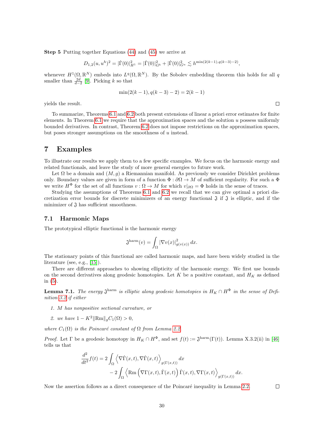Step 5 Putting together Equations [\(44\)](#page-29-1) and [\(45\)](#page-29-2) we arrive at

$$
D_{1,2}(u, u^h)^2 = |\dot{\Gamma}(0)|_{H^1}^2 = |\dot{\Gamma}(0)|_{G^b}^2 + |\dot{\Gamma}(0)|_{G^u}^2 \lesssim h^{\min(2(k-1), q(k-3)-2)},
$$

whenever  $H^1(\Omega,\mathbb{R}^N)$  embeds into  $L^q(\Omega,\mathbb{R}^N)$ . By the Sobolev embedding theorem this holds for all q smaller than  $\frac{2d}{d-2}$  [\[9\]](#page-35-18). Picking k so that

$$
\min(2(k-1), q(k-3) - 2) = 2(k-1)
$$

yields the result.

To summarize, Theorems [6.1](#page-26-0) and [6.2](#page-27-0) both present extensions of linear a priori error estimates for finite elements. In Theorem  $6.1$  we require that the approximation spaces and the solution u possess uniformly bounded derivatives. In contrast, Theorem [6.2](#page-27-0) does not impose restrictions on the approximation spaces, but poses stronger assumptions on the smoothness of  $u$  instead.

## <span id="page-30-0"></span>7 Examples

To illustrate our results we apply them to a few specific examples. We focus on the harmonic energy and related functionals, and leave the study of more general energies to future work.

Let  $\Omega$  be a domain and  $(M, q)$  a Riemannian manifold. As previously we consider Dirichlet problems only. Boundary values are given in form of a function  $\Phi : \partial \Omega \to M$  of sufficient regularity. For such a  $\Phi$ we write  $H^{\Phi}$  for the set of all functions  $v : \Omega \to M$  for which  $v|_{\partial\Omega} = \Phi$  holds in the sense of traces.

Studying the assumptions of Theorems [6.1](#page-26-0) and [6.2](#page-27-0) we recall that we can give optimal a priori discretization error bounds for discrete minimizers of an energy functional  $\mathfrak{J}$  if  $\mathfrak{J}$  is elliptic, and if the minimizer of  $\mathfrak J$  has sufficient smoothness.

### 7.1 Harmonic Maps

The prototypical elliptic functional is the harmonic energy

$$
\mathfrak{J}^{\mathrm{harm}}(v) = \int_{\Omega} |\nabla v(x)|^2_{g(v(x))} dx.
$$

The stationary points of this functional are called harmonic maps, and have been widely studied in the literature (see, e.g., [\[15\]](#page-35-19)).

There are different approaches to showing ellipticity of the harmonic energy. We first use bounds on the second derivatives along geodesic homotopies. Let K be a positive constant, and  $H_K$  as defined in [\(5\)](#page-5-1).

<span id="page-30-1"></span>**Lemma 7.1.** The energy  $\mathfrak{J}^{\text{harm}}$  is elliptic along geodesic homotopies in  $H_K \cap H^{\Phi}$  in the sense of Definition [3.2](#page-13-0) if either

- 1. M has nonpositive sectional curvature, or
- 2. we have  $1 K^2 ||Rm||_qC_1(\Omega) > 0$ ,

where  $C_1(\Omega)$  is the Poincaré constant of  $\Omega$  from Lemma [2.2.](#page-4-3)

*Proof.* Let  $\Gamma$  be a geodesic homotopy in  $H_K \cap H^{\Phi}$ , and set  $f(t) := \mathfrak{J}^{\text{harm}}(\Gamma(t))$ . Lemma X.3.2(ii) in [\[46\]](#page-37-10) tells us that

$$
\frac{d^2}{dt^2} f(t) = 2 \int_{\Omega} \left\langle \nabla \dot{\Gamma}(x, t), \nabla \dot{\Gamma}(x, t) \right\rangle_{g(\Gamma(x, t))} dx \n- 2 \int_{\Omega} \left\langle \text{Rm} \left( \nabla \Gamma(x, t), \dot{\Gamma}(x, t) \right) \dot{\Gamma}(x, t), \nabla \Gamma(x, t) \right\rangle_{g(\Gamma(x, t))} dx.
$$

Now the assertion follows as a direct consequence of the Poincaré inequality in Lemma [2.2.](#page-4-3)

 $\Box$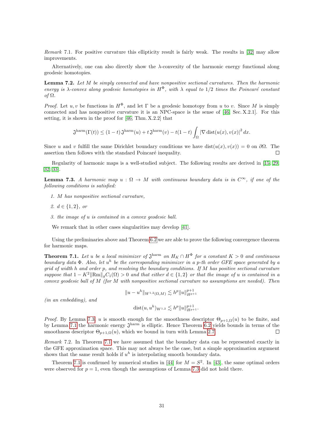Remark 7.1. For positive curvature this ellipticity result is fairly weak. The results in [\[32\]](#page-36-18) may allow improvements.

Alternatively, one can also directly show the  $\lambda$ -convexity of the harmonic energy functional along geodesic homotopies.

**Lemma 7.2.** Let  $M$  be simply connected and have nonpositive sectional curvatures. Then the harmonic energy is  $\lambda$ -convex along geodesic homotopies in  $H^{\Phi}$ , with  $\lambda$  equal to 1/2 times the Poincaré constant of Ω.

*Proof.* Let u, v be functions in  $H^{\Phi}$ , and let  $\Gamma$  be a geodesic homotopy from u to v. Since M is simply connected and has nonpositive curvature it is an NPC-space is the sense of [\[46,](#page-37-10) Sec. X.2.1]. For this setting, it is shown in the proof for [\[46,](#page-37-10) Thm. X.2.2] that

$$
\mathfrak{J}^{\text{harm}}(\Gamma(t)) \le (1-t)\,\mathfrak{J}^{\text{harm}}(u) + t\,\mathfrak{J}^{\text{harm}}(v) - t(1-t)\int_{\Omega} |\nabla \operatorname{dist}(u(x), v(x)|^2 dx).
$$

Since u and v fulfill the same Dirichlet boundary conditions we have dist $(u(x), v(x)) = 0$  on  $\partial\Omega$ . The assertion then follows with the standard Poincaré inequality.  $\Box$ 

Regularity of harmonic maps is a well-studied subject. The following results are derived in [\[15,](#page-35-19) [29,](#page-36-19) [32,](#page-36-18) [33\]](#page-36-20).

<span id="page-31-1"></span>**Lemma 7.3.** A harmonic map  $u : \Omega \to M$  with continuous boundary data is in  $C^{\infty}$ , if one of the following conditions is satisfied:

- 1. M has nonpositive sectional curvature,
- 2.  $d \in \{1, 2\}$ , or
- 3. the image of u is contained in a convex geodesic ball.

We remark that in other cases singularities may develop [\[41\]](#page-36-21).

Using the preliminaries above and Theorem [6.2](#page-27-0) we are able to prove the following convergence theorem for harmonic maps.

<span id="page-31-0"></span>**Theorem 7.1.** Let u be a local minimizer of  $\mathfrak{J}^{\text{harm}}$  on  $H_K \cap H^{\Phi}$  for a constant  $K > 0$  and continuous boundary data  $\Phi$ . Also, let  $u^h$  be the corresponding minimizer in a p-th order GFE space generated by a grid of width h and order p, and resolving the boundary conditions. If M has positive sectional curvature suppose that  $1 - K^2 \|\text{Rm}\|_q C_1(\Omega) > 0$  and that either  $d \in \{1,2\}$  or that the image of u is contained in a convex geodesic ball of  $M$  (for  $M$  with nonpositive sectional curvature no assumptions are needed). Then

$$
||u - u^h||_{W^{1,2}(\Omega,M)} \lesssim h^p ||u||_{H^{p+1}}^{p+1}
$$

(in an embedding), and

dist
$$
(u, u^h)_{W^{1,2}} \lesssim h^p ||u||_{H^{p+1}}^{p+1}.
$$

*Proof.* By Lemma [7.3,](#page-31-1) u is smooth enough for the smoothness descriptor  $\Theta_{p+1,\Omega}(u)$  to be finite, and by Lemma [7.1](#page-30-1) the harmonic energy  $\mathfrak{J}^{\text{harm}}$  is elliptic. Hence Theorem [6.2](#page-27-0) yields bounds in terms of the smoothness descriptor  $\Theta_{p+1,\Omega}(u)$ , which we bound in turn with Lemma [2.7.](#page-9-1) П

Remark 7.2. In Theorem [7.1](#page-31-0) we have assumed that the boundary data can be represented exactly in the GFE approximation space. This may not always be the case, but a simple approximation argument shows that the same result holds if  $u^h$  is interpolating smooth boundary data.

Theorem [7.1](#page-31-0) is confirmed by numerical studies in [\[44\]](#page-36-10) for  $M = S^2$ . In [\[43\]](#page-36-9), the same optimal orders were observed for  $p = 1$ , even though the assumptions of Lemma [7.3](#page-31-1) did not hold there.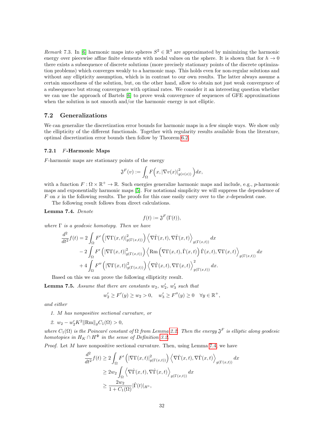<span id="page-32-0"></span>Remark 7.3. In [\[6\]](#page-35-3) harmonic maps into spheres  $S^2 \in \mathbb{R}^3$  are approximated by minimizing the harmonic energy over piecewise affine finite elements with nodal values on the sphere. It is shown that for  $h \to 0$ there exists a subsequence of discrete solutions (more precisely stationary points of the discrete optimization problems) which converges weakly to a harmonic map. This holds even for non-regular solutions and without any ellipticity assumption, which is in contrast to our own results. The latter always assume a certain smoothness of the solution, but, on the other hand, allow to obtain not just weak convergence of a subsequence but strong convergence with optimal rates. We consider it an interesting question whether we can use the approach of Bartels [\[6\]](#page-35-3) to prove weak convergence of sequences of GFE approximations when the solution is not smooth and/or the harmonic energy is not elliptic.

#### 7.2 Generalizations

We can generalize the discretization error bounds for harmonic maps in a few simple ways. We show only the ellipticity of the different functionals. Together with regularity results available from the literature, optimal discretization error bounds then follow by Theorem [6.2.](#page-27-0)

#### 7.2.1 F-Harmonic Maps

F-harmonic maps are stationary points of the energy

$$
\mathfrak{J}^F(v) := \int_{\Omega} F\Big(x, |\nabla v(x)|^2_{g(v(x))}\Big) dx,
$$

with a function  $F: \Omega \times \mathbb{R}^+ \to \mathbb{R}$ . Such energies generalize harmonic maps and include, e.g., p-harmonic maps and exponentially harmonic maps [\[5\]](#page-35-20). For notational simplicity we will suppress the dependence of F on x in the following results. The proofs for this case easily carry over to the x-dependent case.

The following result follows from direct calculations.

<span id="page-32-1"></span>Lemma 7.4. Denote

$$
f(t) := \mathfrak{J}^F(\Gamma(t)),
$$

where  $\Gamma$  is a geodesic homotopy. Then we have

$$
\frac{d^2}{dt^2} f(t) = 2 \int_{\Omega} F' \left( \left| \nabla \Gamma(x,t) \right|_{g(\Gamma(x,t))}^2 \right) \left\langle \nabla \dot{\Gamma}(x,t), \nabla \dot{\Gamma}(x,t) \right\rangle_{g(\Gamma(x,t))} dx \n- 2 \int_{\Omega} F' \left( \left| \nabla \Gamma(x,t) \right|_{g(\Gamma(x,t))}^2 \right) \left\langle \operatorname{Rm} \left( \nabla \Gamma(x,t), \dot{\Gamma}(x,t) \right) \dot{\Gamma}(x,t), \nabla \Gamma(x,t) \right\rangle_{g(\Gamma(x,t))} dx \n+ 4 \int_{\Omega} F'' \left( \left| \nabla \Gamma(x,t) \right|_{g(\Gamma(x,t))}^2 \right) \left\langle \nabla \dot{\Gamma}(x,t), \nabla \Gamma(x,t) \right\rangle_{g(\Gamma(x,t))}^2 dx.
$$

Based on this we can prove the following ellipticity result.

**Lemma 7.5.** Assume that there are constants  $w_2$ ,  $w'_2$ ,  $w'_3$  such that

$$
w_2' \ge F'(y) \ge w_2 > 0, \quad w_3' \ge F''(y) \ge 0 \quad \forall y \in \mathbb{R}^+,
$$

<span id="page-32-2"></span>and either

- 1. M has nonpositive sectional curvature, or
- <span id="page-32-3"></span>2.  $w_2 - w_2' K^2 \|\text{Rm}\|_g C_1(\Omega) > 0,$

where  $C_1(\Omega)$  is the Poincaré constant of  $\Omega$  from Lemma [2.2.](#page-4-3) Then the energy  $\mathfrak{J}^F$  is elliptic along geodesic homotopies in  $H_K \cap H^{\Phi}$  in the sense of Definition [3.2.](#page-13-0)

*Proof.* Let  $M$  have nonpositive sectional curvature. Then, using Lemma [7.4,](#page-32-1) we have

$$
\frac{d^2}{dt^2} f(t) \ge 2 \int_{\Omega} F' \left( \left| \nabla \Gamma(x, t) \right|_{g(\Gamma(x, t))}^2 \right) \left\langle \nabla \dot{\Gamma}(x, t), \nabla \dot{\Gamma}(x, t) \right\rangle_{g(\Gamma(x, t))} dx
$$
  
\n
$$
\ge 2w_2 \int_{\Omega} \left\langle \nabla \dot{\Gamma}(x, t), \nabla \dot{\Gamma}(x, t) \right\rangle_{g(\Gamma(x, t))} dx
$$
  
\n
$$
\ge \frac{2w_2}{1 + C_1(\Omega)} |\dot{\Gamma}(t)|_{H^1},
$$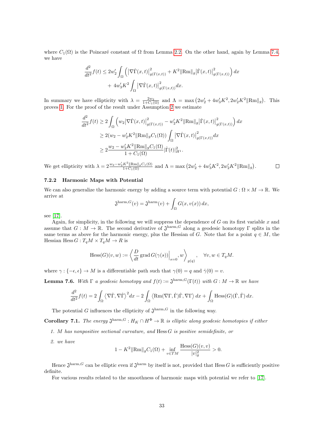where  $C_1(\Omega)$  is the Poincaré constant of  $\Omega$  from Lemma [2.2.](#page-4-3) On the other hand, again by Lemma [7.4,](#page-32-1) we have

$$
\frac{d^2}{dt^2}f(t) \le 2w'_2 \int_{\Omega} \left( \left| \nabla \dot{\Gamma}(x,t) \right|_{g(\Gamma(x,t))}^2 + K^2 \|\text{Rm}\|_{g} \left| \dot{\Gamma}(x,t) \right|_{g(\Gamma(x,t))}^2 \right) dx \n+ 4w'_3 K^2 \int_{\Omega} \left| \nabla \dot{\Gamma}(x,t) \right|_{g(\Gamma(x,t))}^2 dx.
$$

In summary we have ellipticity with  $\lambda = \frac{2w_2}{1+C_1(\Omega)}$  and  $\Lambda = \max(2w_2' + 4w_3'K^2, 2w_2'K^2 \|\mathbf{Rm}\|_g)$ . This proves [1.](#page-32-2) For the proof of the result under Assumption [2](#page-32-3) we estimate

$$
\frac{d^2}{dt^2} f(t) \ge 2 \int_{\Omega} \left( w_2 |\nabla \dot{\Gamma}(x, t)|_{g(\Gamma(x, t))}^2 - w_2' K^2 ||\text{Rm}||_g |\dot{\Gamma}(x, t)|_{g(\Gamma(x, t))}^2 \right) dx
$$
  
\n
$$
\ge 2(w_2 - w_2' K^2 ||\text{Rm}||_g C_1(\Omega)) \int_{\Omega} |\nabla \dot{\Gamma}(x, t)|_{g(\Gamma(x, t))}^2 dx
$$
  
\n
$$
\ge 2 \frac{w_2 - w_2' K^2 ||\text{Rm}||_g C_1(\Omega)}{1 + C_1(\Omega)} |\dot{\Gamma}(t)|_{H^1}^2.
$$

We get ellipticity with  $\lambda = 2 \frac{w_2 - w_2' K^2 \|\text{Rm}\|_g C_1(\Omega)}{1 + C_1(\Omega)}$  and  $\Lambda = \max\left(2w_2' + 4w_3' K^2, 2w_2' K^2 \|\text{Rm}\|_g\right)$ .  $\Box$ 

#### 7.2.2 Harmonic Maps with Potential

We can also generalize the harmonic energy by adding a source term with potential  $G : \Omega \times M \to \mathbb{R}$ . We arrive at

$$
\mathfrak{J}^{\text{harm},G}(v) = \mathfrak{J}^{\text{harm}}(v) + \int_{\Omega} G(x,v(x)) dx,
$$

see [\[17\]](#page-35-21).

Again, for simplicity, in the following we will suppress the dependence of  $G$  on its first variable  $x$  and assume that  $G: M \to \mathbb{R}$ . The second derivative of  $\mathfrak{J}^{\text{harm},G}$  along a geodesic homotopy  $\Gamma$  splits in the same terms as above for the harmonic energy, plus the Hessian of G. Note that for a point  $q \in M$ , the Hessian Hess  $G: T_qM \times T_qM \to R$  is

$$
\text{Hess}(G)(v, w) := \left\langle \left. \frac{D}{dt} \operatorname{grad} G(\gamma(s)) \right|_{s=0}, w \right\rangle_{g(q)}, \quad \forall v, w \in T_qM.
$$

where  $\gamma : \{-\epsilon, \epsilon\} \to M$  is a differentiable path such that  $\gamma(0) = q$  and  $\dot{\gamma}(0) = v$ .

**Lemma 7.6.** With  $\Gamma$  a geodesic homotopy and  $f(t) := \mathfrak{J}^{\text{harm},G}(\Gamma(t))$  with  $G : M \to \mathbb{R}$  we have

$$
\frac{d^2}{dt^2}f(t) = 2\int_{\Omega} \left\langle \nabla \dot{\Gamma}, \nabla \dot{\Gamma} \right\rangle^2 dx - 2\int_{\Omega} \left\langle Rm(\nabla \Gamma, \dot{\Gamma})\dot{\Gamma}, \nabla \Gamma \right\rangle dx + \int_{\Omega} \text{Hess}(G)(\dot{\Gamma}, \dot{\Gamma}) dx.
$$

The potential G influences the ellipticity of  $\mathfrak{J}^{\text{harm},G}$  in the following way.

**Corollary 7.1.** The energy  $\mathfrak{J}^{\text{harm},G}:H_K\cap H^{\Phi}\to\mathbb{R}$  is elliptic along geodesic homotopies if either

- 1. M has nonpositive sectional curvature, and Hess G is positive semidefinite, or
- 2. we have

$$
1 - K^{2} \|\text{Rm}\|_{g}C_{1}(\Omega) + \inf_{v \in TM} \frac{\text{Hess}(G)(v, v)}{|v|_{g}^{2}} > 0.
$$

Hence  $\mathfrak{J}^{\text{harm},G}$  can be elliptic even if  $\mathfrak{J}^{\text{harm}}$  by itself is not, provided that Hess G is sufficiently positive definite.

For various results related to the smoothness of harmonic maps with potential we refer to [\[17\]](#page-35-21).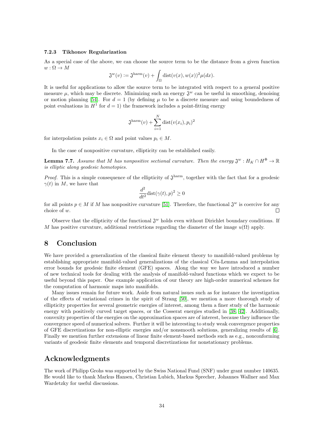#### 7.2.3 Tikhonov Regularization

As a special case of the above, we can choose the source term to be the distance from a given function  $w: \Omega \to M$ 

$$
\mathfrak{J}^w(v) := \mathfrak{J}^{\mathrm{harm}}(v) + \int_{\Omega} \mathrm{dist}(v(x), w(x))^2 \mu(dx).
$$

It is useful for applications to allow the source term to be integrated with respect to a general positive measure  $\mu$ , which may be discrete. Minimizing such an energy  $\mathfrak{J}^w$  can be useful in smoothing, denoising or motion planning [\[54\]](#page-37-11). For  $d = 1$  (by defining  $\mu$  to be a discrete measure and using boundedness of point evaluations in  $H^1$  for  $d=1$ ) the framework includes a point-fitting energy

$$
\mathfrak{J}^{\text{harm}}(v) + \sum_{i=1}^{N} \text{dist}(v(x_i), p_i)^2
$$

for interpolation points  $x_i \in \Omega$  and point values  $p_i \in M$ .

In the case of nonpositive curvature, ellipticity can be established easily.

**Lemma 7.7.** Assume that M has nonpositive sectional curvature. Then the energy  $\mathfrak{J}^w$ :  $H_K \cap H^{\Phi} \to \mathbb{R}$ is elliptic along geodesic homotopies.

*Proof.* This is a simple consequence of the ellipticity of  $\mathfrak{J}^{\text{harm}}$ , together with the fact that for a geodesic  $\gamma(t)$  in M, we have that

$$
\frac{d^2}{dt^2}\text{dist}(\gamma(t),p)^2 \ge 0
$$

for all points  $p \in M$  if M has nonpositive curvature [\[51\]](#page-37-12). Therefore, the functional  $\mathfrak{J}^w$  is coercive for any choice of w.  $\Box$ 

Observe that the ellipticity of the functional  $\mathfrak{J}^w$  holds even without Dirichlet boundary conditions. If M has positive curvature, additional restrictions regarding the diameter of the image  $u(\Omega)$  apply.

## 8 Conclusion

We have provided a generalization of the classical finite element theory to manifold-valued problems by establishing appropriate manifold-valued generalizations of the classical Céa-Lemma and interpolation error bounds for geodesic finite element (GFE) spaces. Along the way we have introduced a number of new technical tools for dealing with the analysis of manifold-valued functions which we expect to be useful beyond this paper. One example application of our theory are high-order numerical schemes for the computation of harmonic maps into manifolds.

Many issues remain for future work. Aside from natural issues such as for instance the investigation of the effects of variational crimes in the spirit of Strang [\[50\]](#page-37-13), we mention a more thorough study of ellipticity properties for several geometric energies of interest, among them a finer study of the harmonic energy with positively curved target spaces, or the Cosserat energies studied in [\[38,](#page-36-0) [42\]](#page-36-8). Additionally, convexity properties of the energies on the approximation spaces are of interest, because they influence the convergence speed of numerical solvers. Further it will be interesting to study weak convergence properties of GFE discretizations for non-elliptic energies and/or nonsmooth solutions, generalizing results of [\[6\]](#page-35-3). Finally we mention further extensions of linear finite element-based methods such as e.g., nonconforming variants of geodesic finite elements and temporal discretizations for nonstationary problems.

## Acknowledgments

The work of Philipp Grohs was supported by the Swiss National Fund (SNF) under grant number 140635. He would like to thank Markus Hansen, Christian Lubich, Markus Sprecher, Johannes Wallner and Max Wardetzky for useful discussions.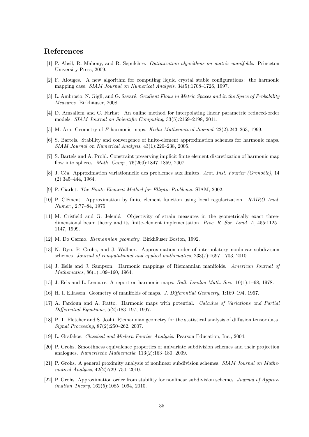# References

- <span id="page-35-15"></span>[1] P. Absil, R. Mahony, and R. Sepulchre. Optimization algorithms on matrix manifolds. Princeton University Press, 2009.
- <span id="page-35-0"></span>[2] F. Alouges. A new algorithm for computing liquid crystal stable configurations: the harmonic mapping case. SIAM Journal on Numerical Analysis, 34(5):1708–1726, 1997.
- <span id="page-35-12"></span>[3] L. Ambrosio, N. Gigli, and G. Savaré. Gradient Flows in Metric Spaces and in the Space of Probability Measures. Birkhäuser, 2008.
- <span id="page-35-9"></span>[4] D. Amsallem and C. Farhat. An online method for interpolating linear parametric reduced-order models. SIAM Journal on Scientific Computing, 33(5):2169–2198, 2011.
- <span id="page-35-20"></span>[5] M. Ara. Geometry of F-harmonic maps. Kodai Mathematical Journal, 22(2):243–263, 1999.
- <span id="page-35-3"></span>[6] S. Bartels. Stability and convergence of finite-element approximation schemes for harmonic maps. SIAM Journal on Numerical Analysis, 43(1):220–238, 2005.
- <span id="page-35-2"></span>[7] S. Bartels and A. Prohl. Constraint preserving implicit finite element discretization of harmonic map flow into spheres. Math. Comp., 76(260):1847–1859, 2007.
- <span id="page-35-11"></span>[8] J. Céa. Approximation variationnelle des problemes aux limites. Ann. Inst. Fourier (Grenoble), 14 (2):345–444, 1964.
- <span id="page-35-18"></span>[9] P. Ciarlet. The Finite Element Method for Elliptic Problems. SIAM, 2002.
- <span id="page-35-14"></span>[10] P. Clément. Approximation by finite element function using local regularization. RAIRO Anal. Numer., 2:77–84, 1975.
- <span id="page-35-5"></span>[11] M. Crisfield and G. Jeleni´c. Objectivity of strain measures in the geometrically exact threedimensional beam theory and its finite-element implementation. Proc. R. Soc. Lond. A, 455:1125– 1147, 1999.
- <span id="page-35-10"></span>[12] M. Do Carmo. Riemannian geometry. Birkhäuser Boston, 1992.
- <span id="page-35-6"></span>[13] N. Dyn, P. Grohs, and J. Wallner. Approximation order of interpolatory nonlinear subdivision schemes. Journal of computational and applied mathematics, 233(7):1697–1703, 2010.
- <span id="page-35-1"></span>[14] J. Eells and J. Sampson. Harmonic mappings of Riemannian manifolds. American Journal of Mathematics, 86(1):109–160, 1964.
- <span id="page-35-19"></span>[15] J. Eels and L. Lemaire. A report on harmonic maps. Bull. London Math. Soc., 10(1):1–68, 1978.
- <span id="page-35-13"></span>[16] H. I. Eliasson. Geometry of manifolds of maps. J. Differential Geometry, 1:169–194, 1967.
- <span id="page-35-21"></span>[17] A. Fardoun and A. Ratto. Harmonic maps with potential. Calculus of Variations and Partial Differential Equations, 5(2):183–197, 1997.
- <span id="page-35-4"></span>[18] P. T. Fletcher and S. Joshi. Riemannian geometry for the statistical analysis of diffusion tensor data. Signal Processing, 87(2):250–262, 2007.
- <span id="page-35-17"></span>[19] L. Grafakos. Classical and Modern Fourier Analysis. Pearson Education, Inc., 2004.
- <span id="page-35-16"></span>[20] P. Grohs. Smoothness equivalence properties of univariate subdivision schemes and their projection analogues. Numerische Mathematik, 113(2):163–180, 2009.
- <span id="page-35-7"></span>[21] P. Grohs. A general proximity analysis of nonlinear subdivision schemes. SIAM Journal on Mathematical Analysis, 42(2):729–750, 2010.
- <span id="page-35-8"></span>[22] P. Grohs. Approximation order from stability for nonlinear subdivision schemes. Journal of Approximation Theory, 162(5):1085–1094, 2010.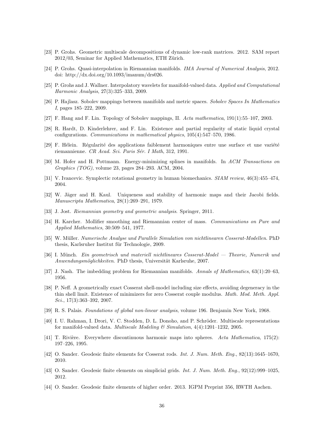- <span id="page-36-17"></span>[23] P. Grohs. Geometric multiscale decompositions of dynamic low-rank matrices. 2012. SAM report  $2012/03$ , Seminar for Applied Mathematics, ETH Zürich.
- <span id="page-36-11"></span>[24] P. Grohs. Quasi-interpolation in Riemannian manifolds. IMA Journal of Numerical Analysis, 2012. doi: http://dx.doi.org/10.1093/imanum/drs026.
- <span id="page-36-7"></span>[25] P. Grohs and J. Wallner. Interpolatory wavelets for manifold-valued data. Applied and Computational Harmonic Analysis, 27(3):325–333, 2009.
- <span id="page-36-14"></span>[26] P. Hajlasz. Sobolev mappings between manifolds and metric spaces. Sobolev Spaces In Mathematics I, pages 185–222, 2009.
- <span id="page-36-15"></span>[27] F. Hang and F. Lin. Topology of Sobolev mappings, II. Acta mathematica, 191(1):55–107, 2003.
- <span id="page-36-1"></span>[28] R. Hardt, D. Kinderlehrer, and F. Lin. Existence and partial regularity of static liquid crystal configurations. Communications in mathematical physics, 105(4):547–570, 1986.
- <span id="page-36-19"></span>[29] F. Hélein. Régularité des applications faiblement harmoniques entre une surface et une variété riemannienne. CR Acad. Sci. Paris Sér. I Math, 312, 1991.
- <span id="page-36-2"></span>[30] M. Hofer and H. Pottmann. Energy-minimizing splines in manifolds. In ACM Transactions on Graphics (TOG), volume 23, pages 284–293. ACM, 2004.
- <span id="page-36-3"></span>[31] V. Ivancevic. Symplectic rotational geometry in human biomechanics. SIAM review, 46(3):455-474, 2004.
- <span id="page-36-18"></span>[32] W. Jäger and H. Kaul. Uniqueness and stability of harmonic maps and their Jacobi fields. Manuscripta Mathematica, 28(1):269–291, 1979.
- <span id="page-36-20"></span>[33] J. Jost. Riemannian geometry and geometric analysis. Springer, 2011.
- <span id="page-36-16"></span>[34] H. Karcher. Mollifier smoothing and Riemannian center of mass. Communications on Pure and Applied Mathematics, 30:509–541, 1977.
- <span id="page-36-6"></span>[35] W. Müller. Numerische Analyse und Parallele Simulation von nichtlinearen Cosserat-Modellen. PhD thesis, Karlsruher Institut für Technologie, 2009.
- <span id="page-36-5"></span>[36] I. Münch. Ein geometrisch und materiell nichtlineares Cosserat-Model — Theorie, Numerik und Anwendungsmöglichkeiten. PhD thesis, Universität Karlsruhe, 2007.
- <span id="page-36-12"></span>[37] J. Nash. The imbedding problem for Riemannian manifolds. Annals of Mathematics, 63(1):20–63, 1956.
- <span id="page-36-0"></span>[38] P. Neff. A geometrically exact Cosserat shell-model including size effects, avoiding degeneracy in the thin shell limit. Existence of minimizers for zero Cosserat couple modulus. Math. Mod. Meth. Appl. Sci., 17(3):363-392, 2007.
- <span id="page-36-13"></span>[39] R. S. Palais. Foundations of global non-linear analysis, volume 196. Benjamin New York, 1968.
- <span id="page-36-4"></span>[40] I. U. Rahman, I. Drori, V. C. Stodden, D. L. Donoho, and P. Schröder. Multiscale representations for manifold-valued data. *Multiscale Modeling*  $\mathcal{C}'$  Simulation, 4(4):1201–1232, 2005.
- <span id="page-36-21"></span>[41] T. Rivière. Everywhere discontinuous harmonic maps into spheres. Acta Mathematica, 175(2): 197–226, 1995.
- <span id="page-36-8"></span>[42] O. Sander. Geodesic finite elements for Cosserat rods. Int. J. Num. Meth. Eng., 82(13):1645–1670, 2010.
- <span id="page-36-9"></span>[43] O. Sander. Geodesic finite elements on simplicial grids. Int. J. Num. Meth. Eng., 92(12):999–1025, 2012.
- <span id="page-36-10"></span>[44] O. Sander. Geodesic finite elements of higher order. 2013. IGPM Preprint 356, RWTH Aachen.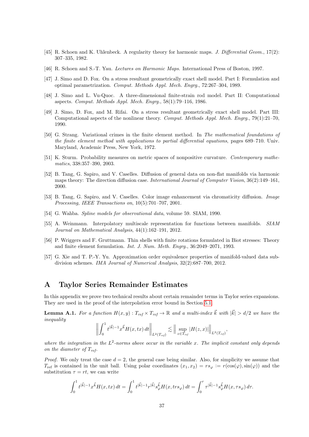- <span id="page-37-8"></span>[45] R. Schoen and K. Uhlenbeck. A regularity theory for harmonic maps. J. Differential Geom., 17(2): 307–335, 1982.
- <span id="page-37-10"></span>[46] R. Schoen and S.-T. Yau. Lectures on Harmonic Maps. International Press of Boston, 1997.
- <span id="page-37-0"></span>[47] J. Simo and D. Fox. On a stress resultant geometrically exact shell model. Part I: Formulation and optimal parametrization. Comput. Methods Appl. Mech. Engrg., 72:267–304, 1989.
- <span id="page-37-4"></span>[48] J. Simo and L. Vu-Quoc. A three-dimensional finite-strain rod model. Part II: Computational aspects. Comput. Methods Appl. Mech. Engrg., 58(1):79–116, 1986.
- <span id="page-37-5"></span>[49] J. Simo, D. Fox, and M. Rifai. On a stress resultant geometrically exact shell model. Part III: Computational aspects of the nonlinear theory. Comput. Methods Appl. Mech. Engrg., 79(1):21–70, 1990.
- <span id="page-37-13"></span>[50] G. Strang. Variational crimes in the finite element method. In The mathematical foundations of the finite element method with applications to partial differential equations, pages 689–710. Univ. Maryland, Academic Press, New York, 1972.
- <span id="page-37-12"></span>[51] K. Sturm. Probability measures on metric spaces of nonpositive curvature. Contemporary mathematics, 338:357–390, 2003.
- <span id="page-37-1"></span>[52] B. Tang, G. Sapiro, and V. Caselles. Diffusion of general data on non-flat manifolds via harmonic maps theory: The direction diffusion case. International Journal of Computer Vision, 36(2):149–161, 2000.
- <span id="page-37-2"></span>[53] B. Tang, G. Sapiro, and V. Caselles. Color image enhancement via chromaticity diffusion. Image Processing, IEEE Transactions on, 10(5):701–707, 2001.
- <span id="page-37-11"></span>[54] G. Wahba. Spline models for observational data, volume 59. SIAM, 1990.
- <span id="page-37-6"></span>[55] A. Weinmann. Interpolatory multiscale representation for functions between manifolds. SIAM Journal on Mathematical Analysis, 44(1):162–191, 2012.
- <span id="page-37-3"></span>[56] P. Wriggers and F. Gruttmann. Thin shells with finite rotations formulated in Biot stresses: Theory and finite element formulation. Int. J. Num. Meth. Engrg., 36:2049–2071, 1993.
- <span id="page-37-7"></span>[57] G. Xie and T. P.-Y. Yu. Approximation order equivalence properties of manifold-valued data subdivision schemes. IMA Journal of Numerical Analysis, 32(2):687–700, 2012.

# A Taylor Series Remainder Estimates

In this appendix we prove two technical results about certain remainder terms in Taylor series expansions. They are used in the proof of the interpolation error bound in Section [5.1.](#page-19-0)

<span id="page-37-9"></span>**Lemma A.1.** For a function  $H(x, y) : T_{ref} \times T_{ref} \to \mathbb{R}$  and a multi-index  $\vec{k}$  with  $|\vec{k}| > d/2$  we have the inequality

$$
\left\| \int_0^1 t^{|\vec{k}| - 1} x^{\vec{k}} H(x, tx) dt \right\|_{L^2(T_{ref})} \lesssim \left\| \sup_{z \in T_{ref}} |H(z, x)| \right\|_{L^2(T_{ref})},
$$

where the integration in the  $L^2$ -norms above occur in the variable x. The implicit constant only depends on the diameter of  $T_{ref}$ .

*Proof.* We only treat the case  $d = 2$ , the general case being similar. Also, for simplicity we assume that  $T_{\text{ref}}$  is contained in the unit ball. Using polar coordinates  $(x_1, x_2) = rs_\varphi := r(\cos(\varphi), \sin(\varphi))$  and the substitution  $\tau = rt$ , we can write

$$
\int_0^1 t^{|\vec{k}|-1} x^{\vec{k}} H(x,tx) dt = \int_0^1 t^{|\vec{k}|-1} r^{|\vec{k}|} s_{\varphi}^{\vec{k}} H(x, tr s_{\varphi}) dt = \int_0^r \tau^{|\vec{k}|-1} s_{\varphi}^{\vec{k}} H(x, \tau s_{\varphi}) d\tau.
$$